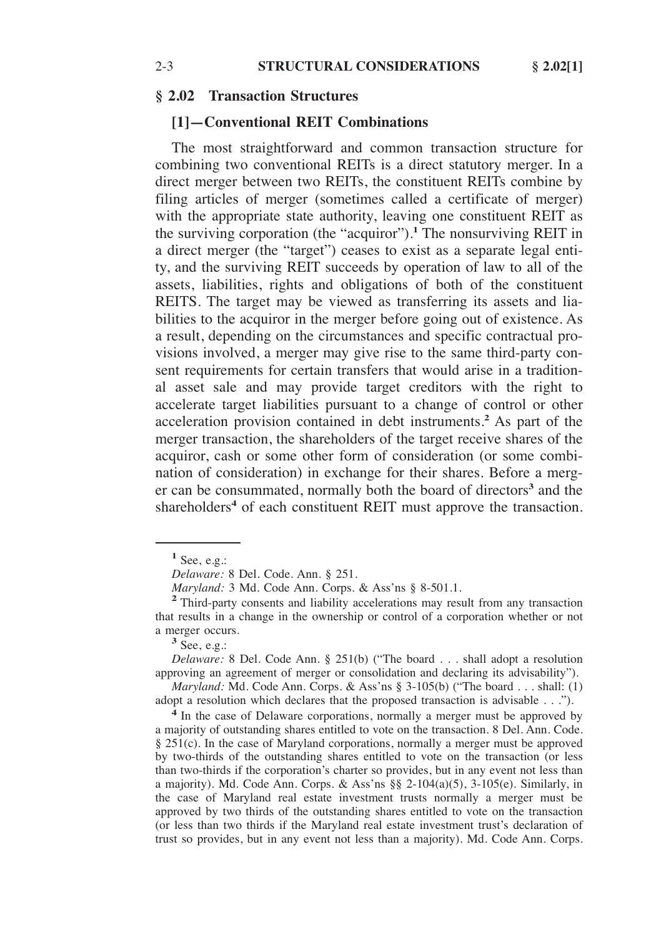### **§ 2.02 Transaction Structures**

### **[1]—Conventional REIT Combinations**

The most straightforward and common transaction structure for combining two conventional REITs is a direct statutory merger. In a direct merger between two REITs, the constituent REITs combine by filing articles of merger (sometimes called a certificate of merger) with the appropriate state authority, leaving one constituent REIT as the surviving corporation (the "acquiror").**<sup>1</sup>** The nonsurviving REIT in a direct merger (the "target") ceases to exist as a separate legal entity, and the surviving REIT succeeds by operation of law to all of the assets, liabilities, rights and obligations of both of the constituent REITS. The target may be viewed as transferring its assets and liabilities to the acquiror in the merger before going out of existence. As a result, depending on the circumstances and specific contractual provisions involved, a merger may give rise to the same third-party consent requirements for certain transfers that would arise in a traditional asset sale and may provide target creditors with the right to accelerate target liabilities pursuant to a change of control or other acceleration provision contained in debt instruments.**<sup>2</sup>** As part of the merger transaction, the shareholders of the target receive shares of the acquiror, cash or some other form of consideration (or some combination of consideration) in exchange for their shares. Before a merger can be consummated, normally both the board of directors**<sup>3</sup>** and the shareholders<sup>4</sup> of each constituent REIT must approve the transaction.

*Delaware:* 8 Del. Code Ann. § 251(b) ("The board . . . shall adopt a resolution approving an agreement of merger or consolidation and declaring its advisability").

*Maryland:* Md. Code Ann. Corps. & Ass'ns § 3-105(b) ("The board . . . shall: (1) adopt a resolution which declares that the proposed transaction is advisable . . .").

**<sup>4</sup>** In the case of Delaware corporations, normally a merger must be approved by a majority of outstanding shares entitled to vote on the transaction. 8 Del. Ann. Code. § 251(c). In the case of Maryland corporations, normally a merger must be approved by two-thirds of the outstanding shares entitled to vote on the transaction (or less than two-thirds if the corporation's charter so provides, but in any event not less than a majority). Md. Code Ann. Corps. & Ass'ns §§ 2-104(a)(5), 3-105(e). Similarly, in the case of Maryland real estate investment trusts normally a merger must be approved by two thirds of the outstanding shares entitled to vote on the transaction (or less than two thirds if the Maryland real estate investment trust's declaration of trust so provides, but in any event not less than a majority). Md. Code Ann. Corps.

 $<sup>1</sup>$  See, e.g.:</sup>

*Delaware:* 8 Del. Code. Ann. § 251.<br>*Maryland:* 3 Md. Code Ann. Corps. & Ass'ns § 8-501.1.

<sup>&</sup>lt;sup>2</sup> Third-party consents and liability accelerations may result from any transaction that results in a change in the ownership or control of a corporation whether or not a merger occurs.<br><sup>3</sup> See, e.g.: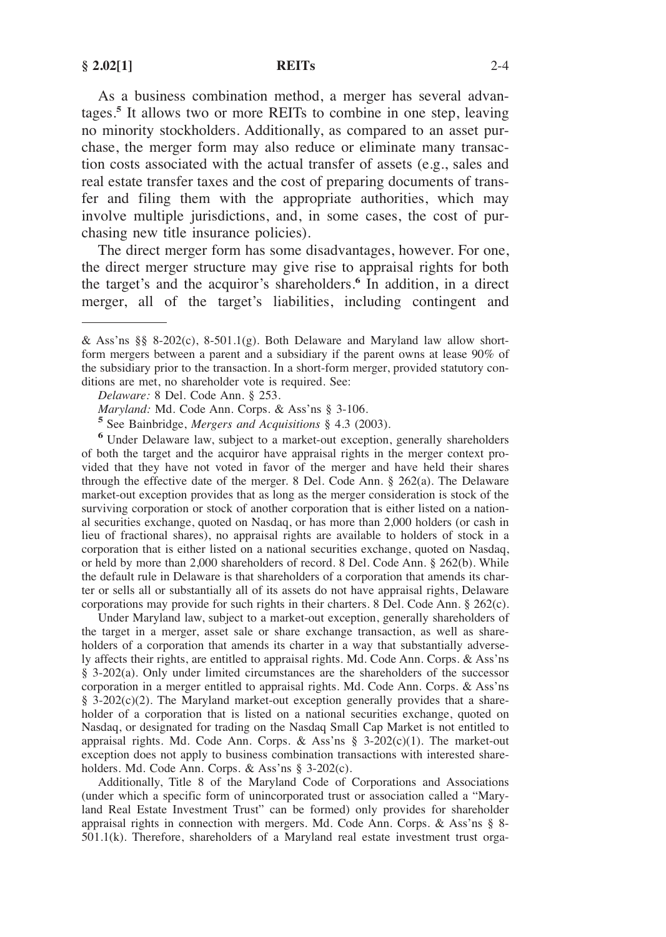As a business combination method, a merger has several advantages.**<sup>5</sup>** It allows two or more REITs to combine in one step, leaving no minority stockholders. Additionally, as compared to an asset purchase, the merger form may also reduce or eliminate many transaction costs associated with the actual transfer of assets (e.g., sales and real estate transfer taxes and the cost of preparing documents of transfer and filing them with the appropriate authorities, which may involve multiple jurisdictions, and, in some cases, the cost of purchasing new title insurance policies).

The direct merger form has some disadvantages, however. For one, the direct merger structure may give rise to appraisal rights for both the target's and the acquiror's shareholders.**<sup>6</sup>** In addition, in a direct merger, all of the target's liabilities, including contingent and

<sup>5</sup> See Bainbridge, *Mergers and Acquisitions* § 4.3 (2003). **6** Under Delaware law, subject to a market-out exception, generally shareholders of both the target and the acquiror have appraisal rights in the merger context provided that they have not voted in favor of the merger and have held their shares through the effective date of the merger. 8 Del. Code Ann. § 262(a). The Delaware market-out exception provides that as long as the merger consideration is stock of the surviving corporation or stock of another corporation that is either listed on a national securities exchange, quoted on Nasdaq, or has more than 2,000 holders (or cash in lieu of fractional shares), no appraisal rights are available to holders of stock in a corporation that is either listed on a national securities exchange, quoted on Nasdaq, or held by more than 2,000 shareholders of record. 8 Del. Code Ann. § 262(b). While the default rule in Delaware is that shareholders of a corporation that amends its charter or sells all or substantially all of its assets do not have appraisal rights, Delaware corporations may provide for such rights in their charters. 8 Del. Code Ann. § 262(c).

Under Maryland law, subject to a market-out exception, generally shareholders of the target in a merger, asset sale or share exchange transaction, as well as shareholders of a corporation that amends its charter in a way that substantially adversely affects their rights, are entitled to appraisal rights. Md. Code Ann. Corps. & Ass'ns § 3-202(a). Only under limited circumstances are the shareholders of the successor corporation in a merger entitled to appraisal rights. Md. Code Ann. Corps. & Ass'ns § 3-202(c)(2). The Maryland market-out exception generally provides that a shareholder of a corporation that is listed on a national securities exchange, quoted on Nasdaq, or designated for trading on the Nasdaq Small Cap Market is not entitled to appraisal rights. Md. Code Ann. Corps. & Ass'ns  $\S$  3-202(c)(1). The market-out exception does not apply to business combination transactions with interested shareholders. Md. Code Ann. Corps. & Ass'ns § 3-202(c).

Additionally, Title 8 of the Maryland Code of Corporations and Associations (under which a specific form of unincorporated trust or association called a "Maryland Real Estate Investment Trust" can be formed) only provides for shareholder appraisal rights in connection with mergers. Md. Code Ann. Corps. & Ass'ns § 8- 501.1(k). Therefore, shareholders of a Maryland real estate investment trust orga-

<sup>&</sup>amp; Ass'ns  $\S$ § 8-202(c), 8-501.1(g). Both Delaware and Maryland law allow shortform mergers between a parent and a subsidiary if the parent owns at lease 90% of the subsidiary prior to the transaction. In a short-form merger, provided statutory conditions are met, no shareholder vote is required. See:

*Delaware:* 8 Del. Code Ann. § 253.<br>*Maryland:* Md. Code Ann. Corps. & Ass'ns § 3-106.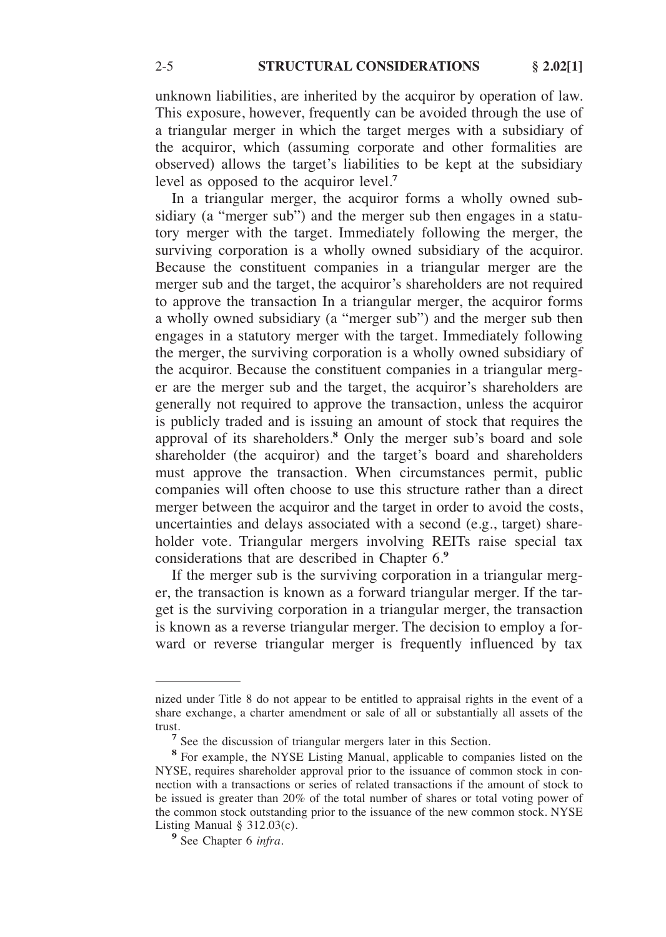unknown liabilities, are inherited by the acquiror by operation of law. This exposure, however, frequently can be avoided through the use of a triangular merger in which the target merges with a subsidiary of the acquiror, which (assuming corporate and other formalities are observed) allows the target's liabilities to be kept at the subsidiary level as opposed to the acquiror level.**<sup>7</sup>**

In a triangular merger, the acquiror forms a wholly owned subsidiary (a "merger sub") and the merger sub then engages in a statutory merger with the target. Immediately following the merger, the surviving corporation is a wholly owned subsidiary of the acquiror. Because the constituent companies in a triangular merger are the merger sub and the target, the acquiror's shareholders are not required to approve the transaction In a triangular merger, the acquiror forms a wholly owned subsidiary (a "merger sub") and the merger sub then engages in a statutory merger with the target. Immediately following the merger, the surviving corporation is a wholly owned subsidiary of the acquiror. Because the constituent companies in a triangular merger are the merger sub and the target, the acquiror's shareholders are generally not required to approve the transaction, unless the acquiror is publicly traded and is issuing an amount of stock that requires the approval of its shareholders.**<sup>8</sup>** Only the merger sub's board and sole shareholder (the acquiror) and the target's board and shareholders must approve the transaction. When circumstances permit, public companies will often choose to use this structure rather than a direct merger between the acquiror and the target in order to avoid the costs, uncertainties and delays associated with a second (e.g., target) shareholder vote. Triangular mergers involving REITs raise special tax considerations that are described in Chapter 6.**<sup>9</sup>**

If the merger sub is the surviving corporation in a triangular merger, the transaction is known as a forward triangular merger. If the target is the surviving corporation in a triangular merger, the transaction is known as a reverse triangular merger. The decision to employ a forward or reverse triangular merger is frequently influenced by tax

nized under Title 8 do not appear to be entitled to appraisal rights in the event of a share exchange, a charter amendment or sale of all or substantially all assets of the trust. **7** See the discussion of triangular mergers later in this Section.

**<sup>8</sup>**For example, the NYSE Listing Manual, applicable to companies listed on the NYSE, requires shareholder approval prior to the issuance of common stock in connection with a transactions or series of related transactions if the amount of stock to be issued is greater than 20% of the total number of shares or total voting power of the common stock outstanding prior to the issuance of the new common stock. NYSE Listing Manual § 312.03(c).<br><sup>9</sup> See Chapter 6 *infra*.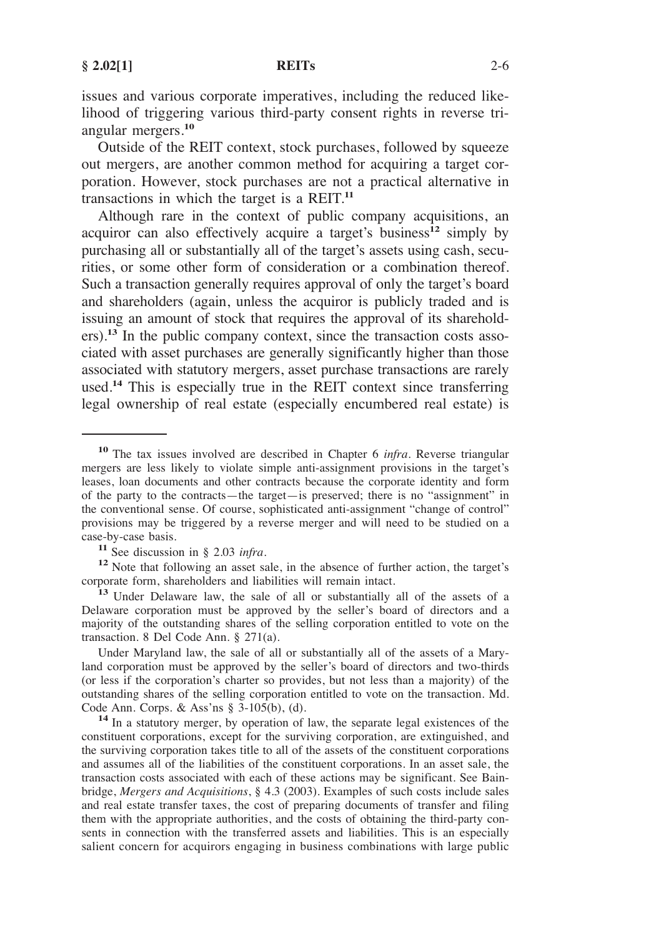issues and various corporate imperatives, including the reduced likelihood of triggering various third-party consent rights in reverse triangular mergers.**<sup>10</sup>**

Outside of the REIT context, stock purchases, followed by squeeze out mergers, are another common method for acquiring a target corporation. However, stock purchases are not a practical alternative in transactions in which the target is a REIT.**<sup>11</sup>**

Although rare in the context of public company acquisitions, an acquiror can also effectively acquire a target's business**<sup>12</sup>** simply by purchasing all or substantially all of the target's assets using cash, securities, or some other form of consideration or a combination thereof. Such a transaction generally requires approval of only the target's board and shareholders (again, unless the acquiror is publicly traded and is issuing an amount of stock that requires the approval of its shareholders).**<sup>13</sup>** In the public company context, since the transaction costs associated with asset purchases are generally significantly higher than those associated with statutory mergers, asset purchase transactions are rarely used.**<sup>14</sup>** This is especially true in the REIT context since transferring legal ownership of real estate (especially encumbered real estate) is

Under Maryland law, the sale of all or substantially all of the assets of a Maryland corporation must be approved by the seller's board of directors and two-thirds (or less if the corporation's charter so provides, but not less than a majority) of the outstanding shares of the selling corporation entitled to vote on the transaction. Md. Code Ann. Corps. & Ass'ns  $\S$  3-105(b), (d).

<sup>14</sup> In a statutory merger, by operation of law, the separate legal existences of the constituent corporations, except for the surviving corporation, are extinguished, and the surviving corporation takes title to all of the assets of the constituent corporations and assumes all of the liabilities of the constituent corporations. In an asset sale, the transaction costs associated with each of these actions may be significant. See Bainbridge, *Mergers and Acquisitions*, § 4.3 (2003). Examples of such costs include sales and real estate transfer taxes, the cost of preparing documents of transfer and filing them with the appropriate authorities, and the costs of obtaining the third-party consents in connection with the transferred assets and liabilities. This is an especially salient concern for acquirors engaging in business combinations with large public

**<sup>10</sup>**The tax issues involved are described in Chapter 6 *infra*. Reverse triangular mergers are less likely to violate simple anti-assignment provisions in the target's leases, loan documents and other contracts because the corporate identity and form of the party to the contracts—the target—is preserved; there is no "assignment" in the conventional sense. Of course, sophisticated anti-assignment "change of control" provisions may be triggered by a reverse merger and will need to be studied on a

**<sup>11</sup>** See discussion in § 2.03 *infra*.<br> **12** Note that following an asset sale, in the absence of further action, the target's corporate form, shareholders and liabilities will remain intact.

<sup>&</sup>lt;sup>13</sup> Under Delaware law, the sale of all or substantially all of the assets of a Delaware corporation must be approved by the seller's board of directors and a majority of the outstanding shares of the selling corporation entitled to vote on the transaction. 8 Del Code Ann. § 271(a).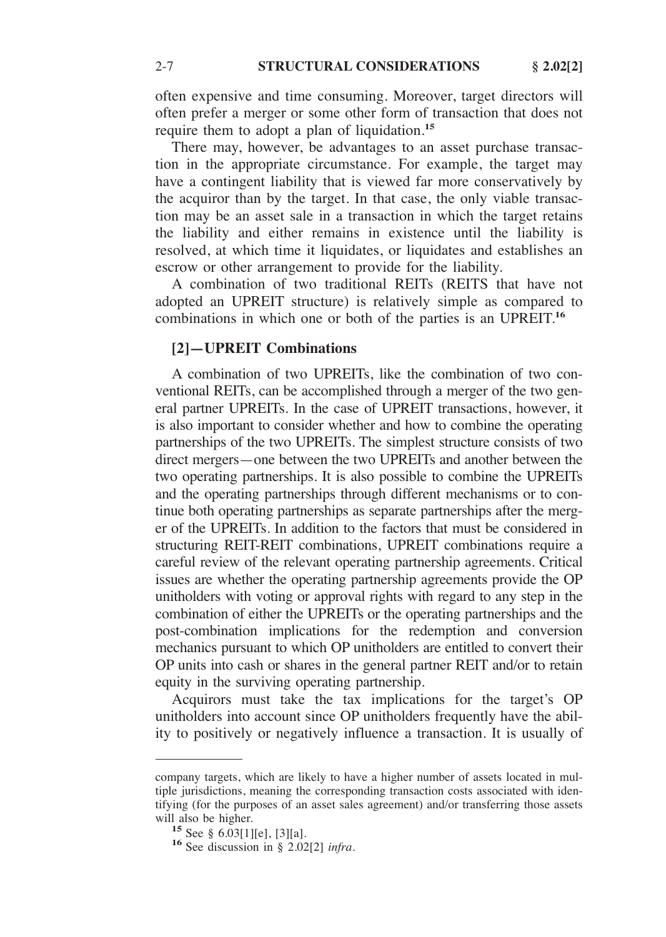often expensive and time consuming. Moreover, target directors will often prefer a merger or some other form of transaction that does not require them to adopt a plan of liquidation.**<sup>15</sup>**

There may, however, be advantages to an asset purchase transaction in the appropriate circumstance. For example, the target may have a contingent liability that is viewed far more conservatively by the acquiror than by the target. In that case, the only viable transaction may be an asset sale in a transaction in which the target retains the liability and either remains in existence until the liability is resolved, at which time it liquidates, or liquidates and establishes an escrow or other arrangement to provide for the liability.

A combination of two traditional REITs (REITS that have not adopted an UPREIT structure) is relatively simple as compared to combinations in which one or both of the parties is an UPREIT.**<sup>16</sup>**

# **[2]—UPREIT Combinations**

A combination of two UPREITs, like the combination of two conventional REITs, can be accomplished through a merger of the two general partner UPREITs. In the case of UPREIT transactions, however, it is also important to consider whether and how to combine the operating partnerships of the two UPREITs. The simplest structure consists of two direct mergers—one between the two UPREITs and another between the two operating partnerships. It is also possible to combine the UPREITs and the operating partnerships through different mechanisms or to continue both operating partnerships as separate partnerships after the merger of the UPREITs. In addition to the factors that must be considered in structuring REIT-REIT combinations, UPREIT combinations require a careful review of the relevant operating partnership agreements. Critical issues are whether the operating partnership agreements provide the OP unitholders with voting or approval rights with regard to any step in the combination of either the UPREITs or the operating partnerships and the post-combination implications for the redemption and conversion mechanics pursuant to which OP unitholders are entitled to convert their OP units into cash or shares in the general partner REIT and/or to retain equity in the surviving operating partnership.

Acquirors must take the tax implications for the target's OP unitholders into account since OP unitholders frequently have the ability to positively or negatively influence a transaction. It is usually of

company targets, which are likely to have a higher number of assets located in multiple jurisdictions, meaning the corresponding transaction costs associated with identifying (for the purposes of an asset sales agreement) and/or transferring those assets will also be higher.<br>
<sup>15</sup> See § 6.03[1][e], [3][a].<br>
<sup>16</sup> See discussion in § 2.02[2] *infra*.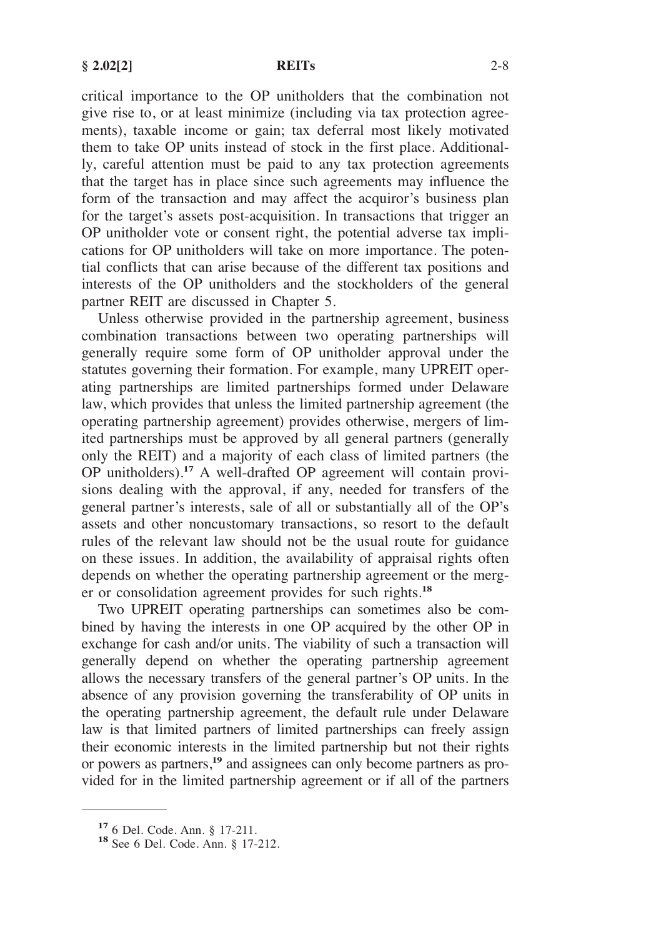critical importance to the OP unitholders that the combination not give rise to, or at least minimize (including via tax protection agreements), taxable income or gain; tax deferral most likely motivated them to take OP units instead of stock in the first place. Additionally, careful attention must be paid to any tax protection agreements that the target has in place since such agreements may influence the form of the transaction and may affect the acquiror's business plan for the target's assets post-acquisition. In transactions that trigger an OP unitholder vote or consent right, the potential adverse tax implications for OP unitholders will take on more importance. The potential conflicts that can arise because of the different tax positions and interests of the OP unitholders and the stockholders of the general partner REIT are discussed in Chapter 5.

Unless otherwise provided in the partnership agreement, business combination transactions between two operating partnerships will generally require some form of OP unitholder approval under the statutes governing their formation. For example, many UPREIT operating partnerships are limited partnerships formed under Delaware law, which provides that unless the limited partnership agreement (the operating partnership agreement) provides otherwise, mergers of limited partnerships must be approved by all general partners (generally only the REIT) and a majority of each class of limited partners (the OP unitholders).**<sup>17</sup>** A well-drafted OP agreement will contain provisions dealing with the approval, if any, needed for transfers of the general partner's interests, sale of all or substantially all of the OP's assets and other noncustomary transactions, so resort to the default rules of the relevant law should not be the usual route for guidance on these issues. In addition, the availability of appraisal rights often depends on whether the operating partnership agreement or the merger or consolidation agreement provides for such rights.**<sup>18</sup>**

Two UPREIT operating partnerships can sometimes also be combined by having the interests in one OP acquired by the other OP in exchange for cash and/or units. The viability of such a transaction will generally depend on whether the operating partnership agreement allows the necessary transfers of the general partner's OP units. In the absence of any provision governing the transferability of OP units in the operating partnership agreement, the default rule under Delaware law is that limited partners of limited partnerships can freely assign their economic interests in the limited partnership but not their rights or powers as partners,**<sup>19</sup>** and assignees can only become partners as provided for in the limited partnership agreement or if all of the partners

**<sup>17</sup>**6 Del. Code. Ann. § 17-211. **<sup>18</sup>**See 6 Del. Code. Ann. § 17-212.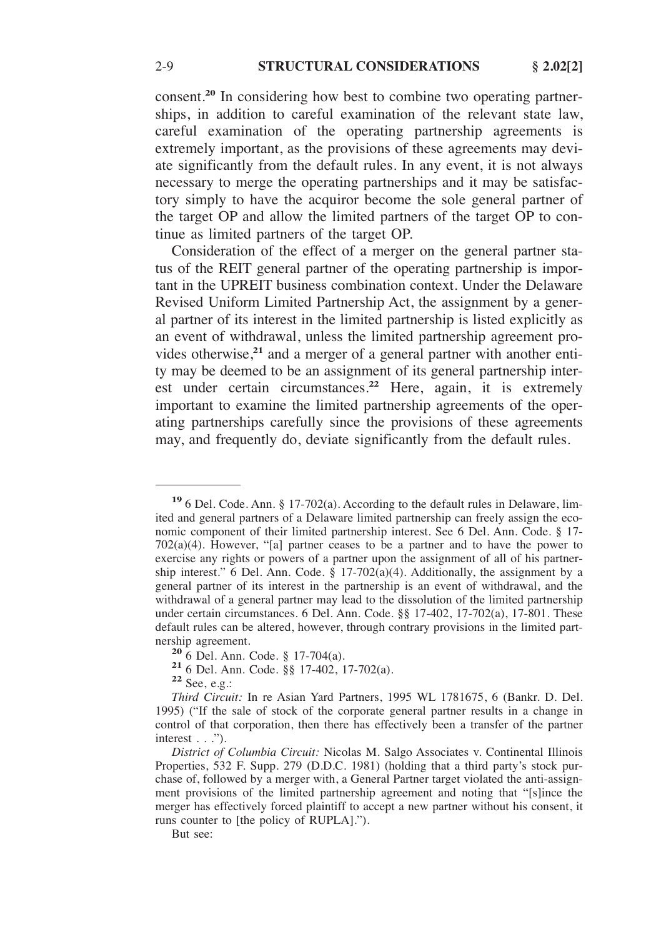consent.**<sup>20</sup>** In considering how best to combine two operating partnerships, in addition to careful examination of the relevant state law, careful examination of the operating partnership agreements is extremely important, as the provisions of these agreements may deviate significantly from the default rules. In any event, it is not always necessary to merge the operating partnerships and it may be satisfactory simply to have the acquiror become the sole general partner of the target OP and allow the limited partners of the target OP to continue as limited partners of the target OP.

Consideration of the effect of a merger on the general partner status of the REIT general partner of the operating partnership is important in the UPREIT business combination context. Under the Delaware Revised Uniform Limited Partnership Act, the assignment by a general partner of its interest in the limited partnership is listed explicitly as an event of withdrawal, unless the limited partnership agreement provides otherwise,**<sup>21</sup>** and a merger of a general partner with another entity may be deemed to be an assignment of its general partnership interest under certain circumstances.**<sup>22</sup>** Here, again, it is extremely important to examine the limited partnership agreements of the operating partnerships carefully since the provisions of these agreements may, and frequently do, deviate significantly from the default rules.

But see:

**<sup>19</sup>**6 Del. Code. Ann. § 17-702(a). According to the default rules in Delaware, limited and general partners of a Delaware limited partnership can freely assign the economic component of their limited partnership interest. See 6 Del. Ann. Code. § 17- 702(a)(4). However, "[a] partner ceases to be a partner and to have the power to exercise any rights or powers of a partner upon the assignment of all of his partnership interest." 6 Del. Ann. Code.  $\S$  17-702(a)(4). Additionally, the assignment by a general partner of its interest in the partnership is an event of withdrawal, and the withdrawal of a general partner may lead to the dissolution of the limited partnership under certain circumstances. 6 Del. Ann. Code. §§ 17-402, 17-702(a), 17-801. These default rules can be altered, however, through contrary provisions in the limited partnership agreement.<br> **20** 6 Del. Ann. Code. § 17-704(a).<br> **21** 6 Del. Ann. Code. §§ 17-402, 17-702(a).<br> **22** See, e.g.:

*Third Circuit:* In re Asian Yard Partners, 1995 WL 1781675, 6 (Bankr. D. Del. 1995) ("If the sale of stock of the corporate general partner results in a change in control of that corporation, then there has effectively been a transfer of the partner interest . . .").

*District of Columbia Circuit:* Nicolas M. Salgo Associates v. Continental Illinois Properties, 532 F. Supp. 279 (D.D.C. 1981) (holding that a third party's stock purchase of, followed by a merger with, a General Partner target violated the anti-assignment provisions of the limited partnership agreement and noting that "[s]ince the merger has effectively forced plaintiff to accept a new partner without his consent, it runs counter to [the policy of RUPLA].").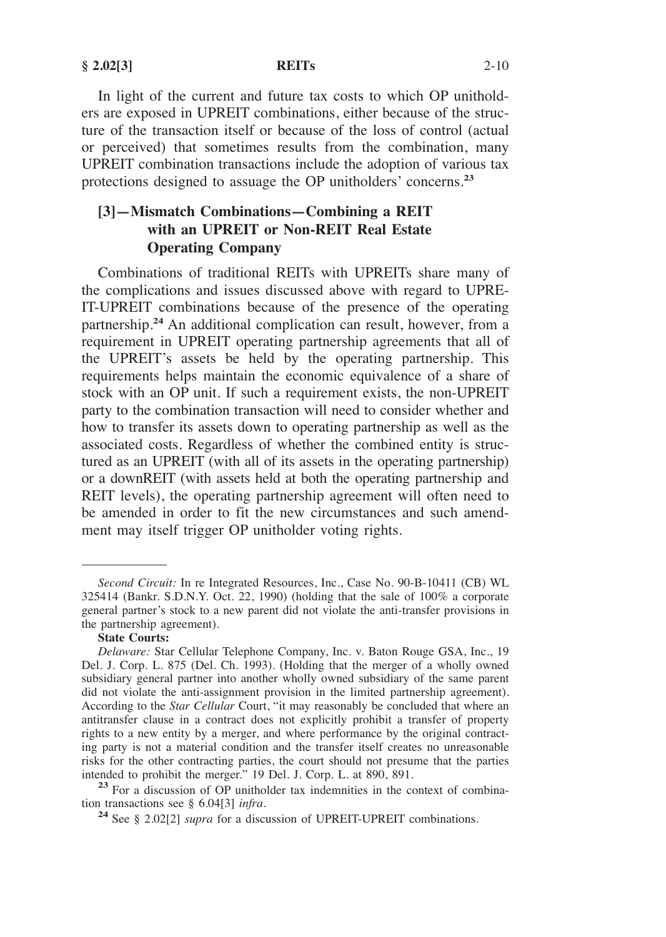**§ 2.02[3] REITs** 2-10

In light of the current and future tax costs to which OP unitholders are exposed in UPREIT combinations, either because of the structure of the transaction itself or because of the loss of control (actual or perceived) that sometimes results from the combination, many UPREIT combination transactions include the adoption of various tax protections designed to assuage the OP unitholders' concerns.**<sup>23</sup>**

# **[3]—Mismatch Combinations—Combining a REIT with an UPREIT or Non-REIT Real Estate Operating Company**

Combinations of traditional REITs with UPREITs share many of the complications and issues discussed above with regard to UPRE-IT-UPREIT combinations because of the presence of the operating partnership.**<sup>24</sup>** An additional complication can result, however, from a requirement in UPREIT operating partnership agreements that all of the UPREIT's assets be held by the operating partnership. This requirements helps maintain the economic equivalence of a share of stock with an OP unit. If such a requirement exists, the non-UPREIT party to the combination transaction will need to consider whether and how to transfer its assets down to operating partnership as well as the associated costs. Regardless of whether the combined entity is structured as an UPREIT (with all of its assets in the operating partnership) or a downREIT (with assets held at both the operating partnership and REIT levels), the operating partnership agreement will often need to be amended in order to fit the new circumstances and such amendment may itself trigger OP unitholder voting rights.

### **State Courts:**

<sup>23</sup> For a discussion of OP unitholder tax indemnities in the context of combination transactions see § 6.04[3] *infra*.

*Second Circuit:* In re Integrated Resources, Inc., Case No. 90-B-10411 (CB) WL 325414 (Bankr. S.D.N.Y. Oct. 22, 1990) (holding that the sale of 100% a corporate general partner's stock to a new parent did not violate the anti-transfer provisions in the partnership agreement).

*Delaware:* Star Cellular Telephone Company, Inc. v. Baton Rouge GSA, Inc., 19 Del. J. Corp. L. 875 (Del. Ch. 1993). (Holding that the merger of a wholly owned subsidiary general partner into another wholly owned subsidiary of the same parent did not violate the anti-assignment provision in the limited partnership agreement). According to the *Star Cellular* Court, "it may reasonably be concluded that where an antitransfer clause in a contract does not explicitly prohibit a transfer of property rights to a new entity by a merger, and where performance by the original contracting party is not a material condition and the transfer itself creates no unreasonable risks for the other contracting parties, the court should not presume that the parties intended to prohibit the merger." 19 Del. J. Corp. L. at 890, 891.

<sup>&</sup>lt;sup>24</sup> See § 2.02[2] *supra* for a discussion of UPREIT-UPREIT combinations.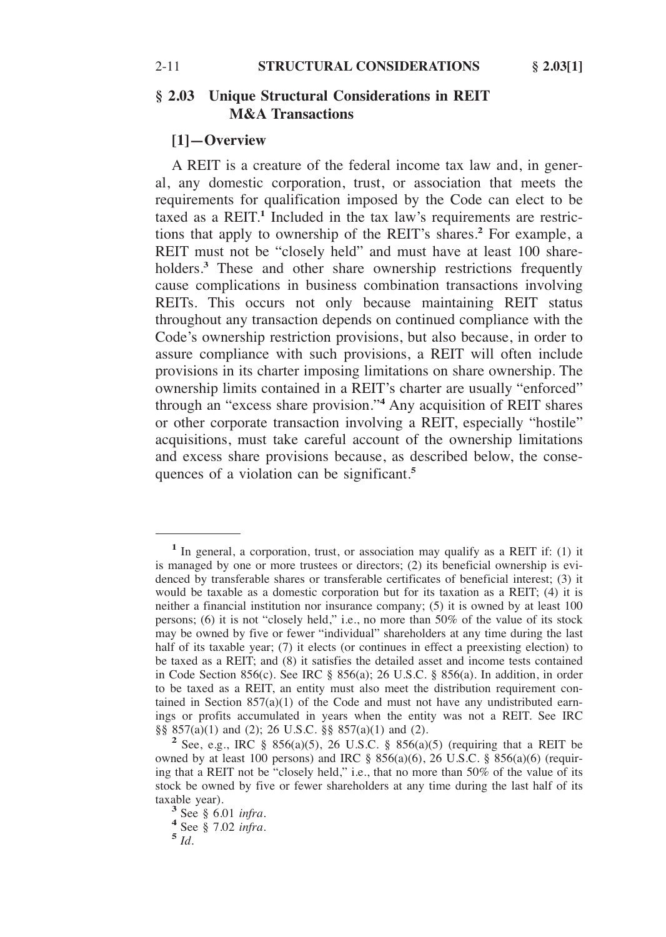# **§ 2.03 Unique Structural Considerations in REIT M&A Transactions**

## **[1]—Overview**

A REIT is a creature of the federal income tax law and, in general, any domestic corporation, trust, or association that meets the requirements for qualification imposed by the Code can elect to be taxed as a REIT.**<sup>1</sup>** Included in the tax law's requirements are restrictions that apply to ownership of the REIT's shares.**<sup>2</sup>** For example, a REIT must not be "closely held" and must have at least 100 shareholders.<sup>3</sup> These and other share ownership restrictions frequently cause complications in business combination transactions involving REITs. This occurs not only because maintaining REIT status throughout any transaction depends on continued compliance with the Code's ownership restriction provisions, but also because, in order to assure compliance with such provisions, a REIT will often include provisions in its charter imposing limitations on share ownership. The ownership limits contained in a REIT's charter are usually "enforced" through an "excess share provision."**<sup>4</sup>** Any acquisition of REIT shares or other corporate transaction involving a REIT, especially "hostile" acquisitions, must take careful account of the ownership limitations and excess share provisions because, as described below, the consequences of a violation can be significant.**<sup>5</sup>**

**<sup>1</sup>**In general, a corporation, trust, or association may qualify as a REIT if: (1) it is managed by one or more trustees or directors; (2) its beneficial ownership is evidenced by transferable shares or transferable certificates of beneficial interest; (3) it would be taxable as a domestic corporation but for its taxation as a REIT; (4) it is neither a financial institution nor insurance company; (5) it is owned by at least 100 persons; (6) it is not "closely held," i.e., no more than 50% of the value of its stock may be owned by five or fewer "individual" shareholders at any time during the last half of its taxable year; (7) it elects (or continues in effect a preexisting election) to be taxed as a REIT; and (8) it satisfies the detailed asset and income tests contained in Code Section 856(c). See IRC § 856(a); 26 U.S.C. § 856(a). In addition, in order to be taxed as a REIT, an entity must also meet the distribution requirement contained in Section  $857(a)(1)$  of the Code and must not have any undistributed earnings or profits accumulated in years when the entity was not a REIT. See IRC  $\S$  857(a)(1) and (2); 26 U.S.C.  $\S$  857(a)(1) and (2).

 $^{2}$  See, e.g., IRC § 856(a)(5), 26 U.S.C. § 856(a)(5) (requiring that a REIT be owned by at least 100 persons) and IRC  $\S$  856(a)(6), 26 U.S.C.  $\S$  856(a)(6) (requiring that a REIT not be "closely held," i.e., that no more than 50% of the value of its stock be owned by five or fewer shareholders at any time during the last half of its taxable year). **3** See § 6.01 *infra*. **<sup>4</sup>**See § 7.02 *infra*. **<sup>5</sup>***Id.*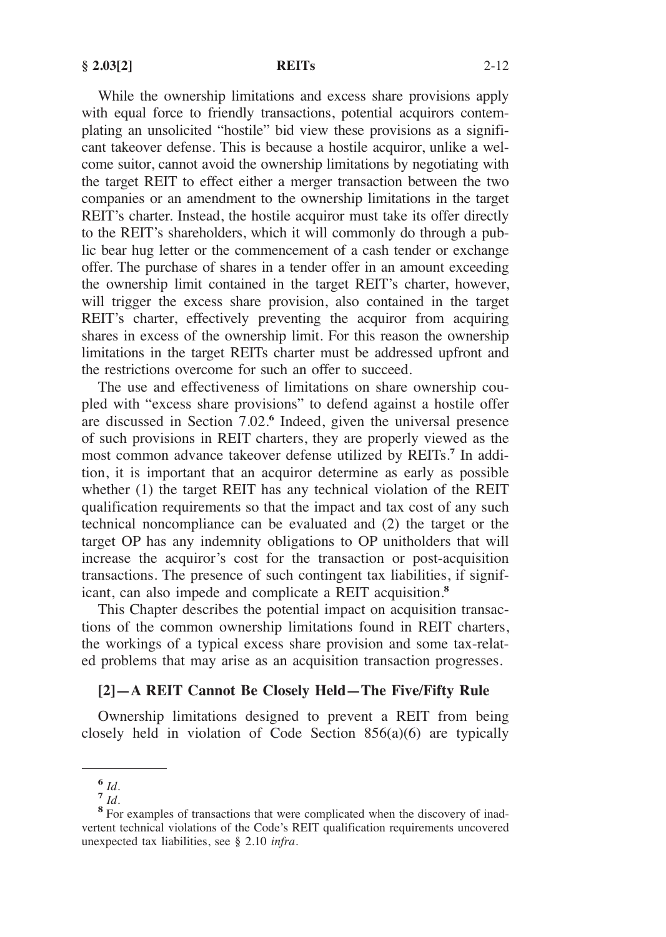While the ownership limitations and excess share provisions apply with equal force to friendly transactions, potential acquirors contemplating an unsolicited "hostile" bid view these provisions as a significant takeover defense. This is because a hostile acquiror, unlike a welcome suitor, cannot avoid the ownership limitations by negotiating with the target REIT to effect either a merger transaction between the two companies or an amendment to the ownership limitations in the target REIT's charter. Instead, the hostile acquiror must take its offer directly to the REIT's shareholders, which it will commonly do through a public bear hug letter or the commencement of a cash tender or exchange offer. The purchase of shares in a tender offer in an amount exceeding the ownership limit contained in the target REIT's charter, however, will trigger the excess share provision, also contained in the target REIT's charter, effectively preventing the acquiror from acquiring shares in excess of the ownership limit. For this reason the ownership limitations in the target REITs charter must be addressed upfront and the restrictions overcome for such an offer to succeed.

The use and effectiveness of limitations on share ownership coupled with "excess share provisions" to defend against a hostile offer are discussed in Section 7.02.**<sup>6</sup>** Indeed, given the universal presence of such provisions in REIT charters, they are properly viewed as the most common advance takeover defense utilized by REITs.**<sup>7</sup>** In addition, it is important that an acquiror determine as early as possible whether (1) the target REIT has any technical violation of the REIT qualification requirements so that the impact and tax cost of any such technical noncompliance can be evaluated and (2) the target or the target OP has any indemnity obligations to OP unitholders that will increase the acquiror's cost for the transaction or post-acquisition transactions. The presence of such contingent tax liabilities, if significant, can also impede and complicate a REIT acquisition.**<sup>8</sup>**

This Chapter describes the potential impact on acquisition transactions of the common ownership limitations found in REIT charters, the workings of a typical excess share provision and some tax-related problems that may arise as an acquisition transaction progresses.

## **[2]—A REIT Cannot Be Closely Held—The Five/Fifty Rule**

Ownership limitations designed to prevent a REIT from being closely held in violation of Code Section 856(a)(6) are typically

**<sup>6</sup>***Id.* **<sup>7</sup>***Id.* **<sup>8</sup>**For examples of transactions that were complicated when the discovery of inadvertent technical violations of the Code's REIT qualification requirements uncovered unexpected tax liabilities, see § 2.10 *infra.*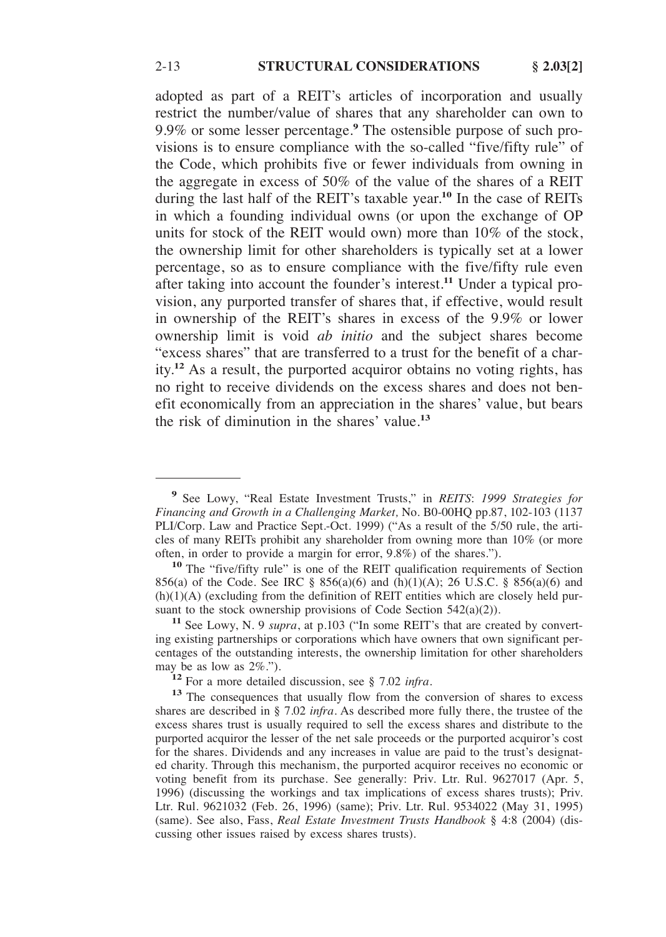adopted as part of a REIT's articles of incorporation and usually restrict the number/value of shares that any shareholder can own to 9.9% or some lesser percentage.**<sup>9</sup>** The ostensible purpose of such provisions is to ensure compliance with the so-called "five/fifty rule" of the Code, which prohibits five or fewer individuals from owning in the aggregate in excess of 50% of the value of the shares of a REIT during the last half of the REIT's taxable year.**<sup>10</sup>** In the case of REITs in which a founding individual owns (or upon the exchange of OP units for stock of the REIT would own) more than 10% of the stock, the ownership limit for other shareholders is typically set at a lower percentage, so as to ensure compliance with the five/fifty rule even after taking into account the founder's interest.**<sup>11</sup>** Under a typical provision, any purported transfer of shares that, if effective, would result in ownership of the REIT's shares in excess of the 9.9% or lower ownership limit is void *ab initio* and the subject shares become "excess shares" that are transferred to a trust for the benefit of a charity.**<sup>12</sup>** As a result, the purported acquiror obtains no voting rights, has no right to receive dividends on the excess shares and does not benefit economically from an appreciation in the shares' value, but bears the risk of diminution in the shares' value.**<sup>13</sup>**

**<sup>9</sup>**See Lowy, "Real Estate Investment Trusts," in *REITS*: *1999 Strategies for Financing and Growth in a Challenging Market,* No. B0-00HQ pp.87, 102-103 (1137 PLI/Corp. Law and Practice Sept.-Oct. 1999) ("As a result of the 5/50 rule, the articles of many REITs prohibit any shareholder from owning more than  $10\%$  (or more often, in order to provide a margin for error, 9.8%) of the shares.").

<sup>&</sup>lt;sup>10</sup> The "five/fifty rule" is one of the REIT qualification requirements of Section 856(a) of the Code. See IRC § 856(a)(6) and (h)(1)(A); 26 U.S.C. § 856(a)(6) and (h)(1)(A) (excluding from the definition of REIT entities which are closely held pursuant to the stock ownership provisions of Code Section  $542(a)(2)$ ).

<sup>&</sup>lt;sup>11</sup> See Lowy, N. 9 *supra*, at p.103 ("In some REIT's that are created by converting existing partnerships or corporations which have owners that own significant percentages of the outstanding interests, the ownership limitation for other shareholders may be as low as  $2\%$ .").

<sup>&</sup>lt;sup>12</sup> For a more detailed discussion, see § 7.02 *infra*. <sup>13</sup> The consequences that usually flow from the conversion of shares to excess shares are described in § 7.02 *infra*. As described more fully there, the trustee of the excess shares trust is usually required to sell the excess shares and distribute to the purported acquiror the lesser of the net sale proceeds or the purported acquiror's cost for the shares. Dividends and any increases in value are paid to the trust's designated charity. Through this mechanism, the purported acquiror receives no economic or voting benefit from its purchase. See generally: Priv. Ltr. Rul. 9627017 (Apr. 5, 1996) (discussing the workings and tax implications of excess shares trusts); Priv. Ltr. Rul. 9621032 (Feb. 26, 1996) (same); Priv. Ltr. Rul. 9534022 (May 31, 1995) (same). See also, Fass, *Real Estate Investment Trusts Handbook* § 4:8 (2004) (discussing other issues raised by excess shares trusts).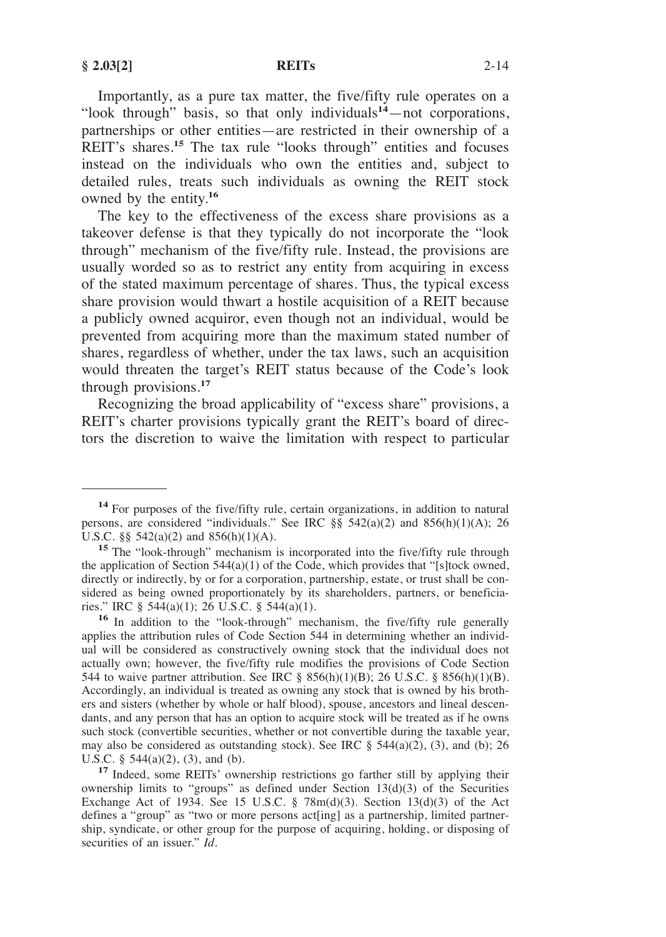Importantly, as a pure tax matter, the five/fifty rule operates on a "look through" basis, so that only individuals**<sup>14</sup>**—not corporations, partnerships or other entities—are restricted in their ownership of a REIT's shares.<sup>15</sup> The tax rule "looks through" entities and focuses instead on the individuals who own the entities and, subject to detailed rules, treats such individuals as owning the REIT stock owned by the entity.**<sup>16</sup>**

The key to the effectiveness of the excess share provisions as a takeover defense is that they typically do not incorporate the "look through" mechanism of the five/fifty rule. Instead, the provisions are usually worded so as to restrict any entity from acquiring in excess of the stated maximum percentage of shares. Thus, the typical excess share provision would thwart a hostile acquisition of a REIT because a publicly owned acquiror, even though not an individual, would be prevented from acquiring more than the maximum stated number of shares, regardless of whether, under the tax laws, such an acquisition would threaten the target's REIT status because of the Code's look through provisions.**<sup>17</sup>**

Recognizing the broad applicability of "excess share" provisions, a REIT's charter provisions typically grant the REIT's board of directors the discretion to waive the limitation with respect to particular

U.S.C. § 544(a)(2), (3), and (b). **17** Indeed, some REITs' ownership restrictions go farther still by applying their ownership limits to "groups" as defined under Section 13(d)(3) of the Securities Exchange Act of 1934. See 15 U.S.C. § 78m(d)(3). Section 13(d)(3) of the Act defines a "group" as "two or more persons act[ing] as a partnership, limited partnership, syndicate, or other group for the purpose of acquiring, holding, or disposing of securities of an issuer." *Id*.

<sup>&</sup>lt;sup>14</sup> For purposes of the five/fifty rule, certain organizations, in addition to natural persons, are considered "individuals." See IRC §§ 542(a)(2) and 856(h)(1)(A); 26 U.S.C. §§ 542(a)(2) and 856(h)(1)(A).<br><sup>15</sup> The "look-through" mechanism is incorporated into the five/fifty rule through

the application of Section 544(a)(1) of the Code, which provides that "[s]tock owned, directly or indirectly, by or for a corporation, partnership, estate, or trust shall be considered as being owned proportionately by its shareholders, partners, or beneficia-<br>ries." IRC § 544(a)(1); 26 U.S.C. § 544(a)(1).

<sup>&</sup>lt;sup>16</sup> In addition to the "look-through" mechanism, the five/fifty rule generally applies the attribution rules of Code Section 544 in determining whether an individual will be considered as constructively owning stock that the individual does not actually own; however, the five/fifty rule modifies the provisions of Code Section 544 to waive partner attribution. See IRC § 856(h)(1)(B); 26 U.S.C. § 856(h)(1)(B). Accordingly, an individual is treated as owning any stock that is owned by his brothers and sisters (whether by whole or half blood), spouse, ancestors and lineal descendants, and any person that has an option to acquire stock will be treated as if he owns such stock (convertible securities, whether or not convertible during the taxable year, may also be considered as outstanding stock). See IRC  $\S$  544(a)(2), (3), and (b); 26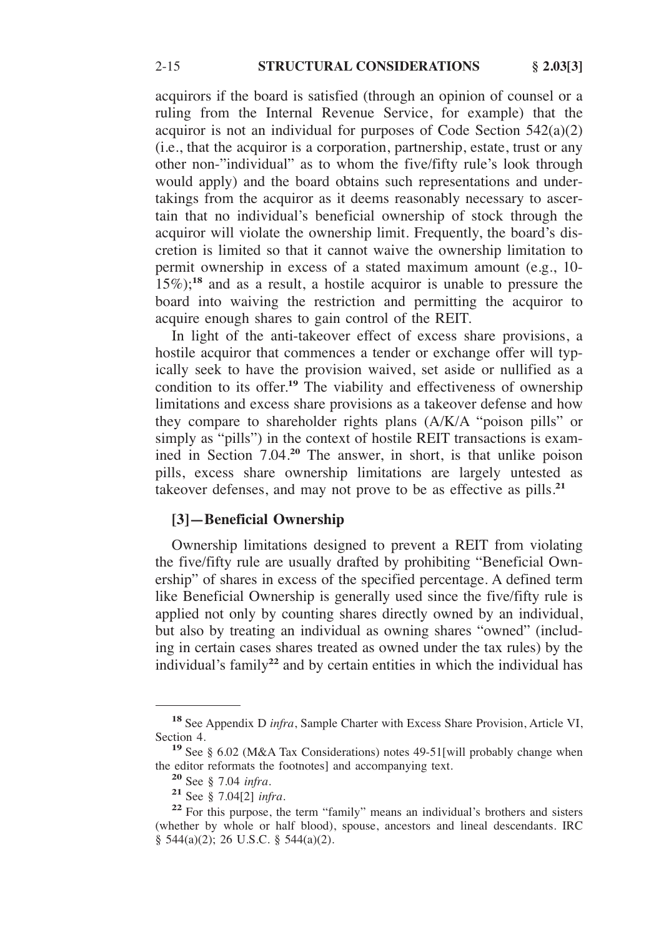acquirors if the board is satisfied (through an opinion of counsel or a ruling from the Internal Revenue Service, for example) that the acquiror is not an individual for purposes of Code Section 542(a)(2) (i.e., that the acquiror is a corporation, partnership, estate, trust or any other non-"individual" as to whom the five/fifty rule's look through would apply) and the board obtains such representations and undertakings from the acquiror as it deems reasonably necessary to ascertain that no individual's beneficial ownership of stock through the acquiror will violate the ownership limit. Frequently, the board's discretion is limited so that it cannot waive the ownership limitation to permit ownership in excess of a stated maximum amount (e.g., 10- 15%);**<sup>18</sup>** and as a result, a hostile acquiror is unable to pressure the board into waiving the restriction and permitting the acquiror to acquire enough shares to gain control of the REIT.

In light of the anti-takeover effect of excess share provisions, a hostile acquiror that commences a tender or exchange offer will typically seek to have the provision waived, set aside or nullified as a condition to its offer.**<sup>19</sup>** The viability and effectiveness of ownership limitations and excess share provisions as a takeover defense and how they compare to shareholder rights plans (A/K/A "poison pills" or simply as "pills") in the context of hostile REIT transactions is examined in Section 7.04.**<sup>20</sup>** The answer, in short, is that unlike poison pills, excess share ownership limitations are largely untested as takeover defenses, and may not prove to be as effective as pills.**<sup>21</sup>**

## **[3]—Beneficial Ownership**

Ownership limitations designed to prevent a REIT from violating the five/fifty rule are usually drafted by prohibiting "Beneficial Ownership" of shares in excess of the specified percentage. A defined term like Beneficial Ownership is generally used since the five/fifty rule is applied not only by counting shares directly owned by an individual, but also by treating an individual as owning shares "owned" (including in certain cases shares treated as owned under the tax rules) by the individual's family**<sup>22</sup>** and by certain entities in which the individual has

**<sup>18</sup>**See Appendix D *infra*, Sample Charter with Excess Share Provision, Article VI,

Section 4.<br>
<sup>19</sup> See § 6.02 (M&A Tax Considerations) notes 49-51[will probably change when the editor reformats the footnotes] and accompanying text.

<sup>&</sup>lt;sup>20</sup> See § 7.04 *infra*. <br><sup>21</sup> See § 7.04[2] *infra*. <br><sup>22</sup> For this purpose, the term "family" means an individual's brothers and sisters (whether by whole or half blood), spouse, ancestors and lineal descendants. IRC § 544(a)(2); 26 U.S.C. § 544(a)(2).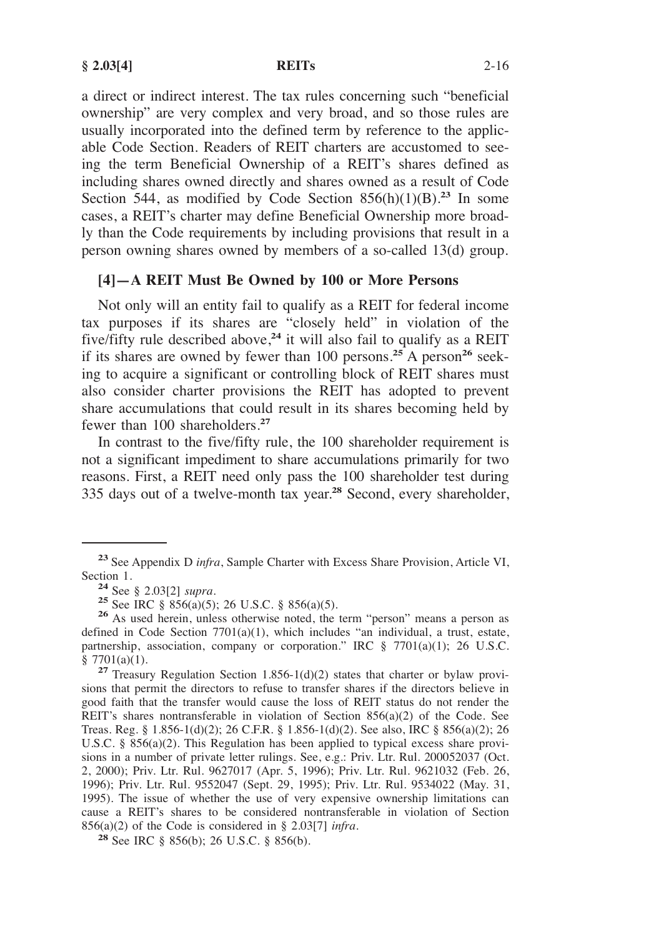a direct or indirect interest. The tax rules concerning such "beneficial ownership" are very complex and very broad, and so those rules are usually incorporated into the defined term by reference to the applicable Code Section. Readers of REIT charters are accustomed to seeing the term Beneficial Ownership of a REIT's shares defined as including shares owned directly and shares owned as a result of Code Section 544, as modified by Code Section  $856(h)(1)(B)^{23}$  In some cases, a REIT's charter may define Beneficial Ownership more broadly than the Code requirements by including provisions that result in a person owning shares owned by members of a so-called 13(d) group.

### **[4]—A REIT Must Be Owned by 100 or More Persons**

Not only will an entity fail to qualify as a REIT for federal income tax purposes if its shares are "closely held" in violation of the five/fifty rule described above,**<sup>24</sup>** it will also fail to qualify as a REIT if its shares are owned by fewer than 100 persons.**<sup>25</sup>** A person**<sup>26</sup>** seeking to acquire a significant or controlling block of REIT shares must also consider charter provisions the REIT has adopted to prevent share accumulations that could result in its shares becoming held by fewer than 100 shareholders.**<sup>27</sup>**

In contrast to the five/fifty rule, the 100 shareholder requirement is not a significant impediment to share accumulations primarily for two reasons. First, a REIT need only pass the 100 shareholder test during 335 days out of a twelve-month tax year.**<sup>28</sup>** Second, every shareholder,

**<sup>23</sup>**See Appendix D *infra*, Sample Charter with Excess Share Provision, Article VI,

<sup>24</sup> See § 2.03[2] *supra*.<br>
<sup>25</sup> See IRC § 856(a)(5); 26 U.S.C. § 856(a)(5).<br>
<sup>26</sup> As used herein, unless otherwise noted, the term "person" means a person as defined in Code Section 7701(a)(1), which includes "an individual, a trust, estate, partnership, association, company or corporation." IRC § 7701(a)(1); 26 U.S.C. § 7701(a)(1).

<sup>&</sup>lt;sup>27</sup> Treasury Regulation Section 1.856-1(d)(2) states that charter or bylaw provisions that permit the directors to refuse to transfer shares if the directors believe in good faith that the transfer would cause the loss of REIT status do not render the REIT's shares nontransferable in violation of Section 856(a)(2) of the Code. See Treas. Reg. § 1.856-1(d)(2); 26 C.F.R. § 1.856-1(d)(2). See also, IRC § 856(a)(2); 26 U.S.C. § 856(a)(2). This Regulation has been applied to typical excess share provisions in a number of private letter rulings. See, e.g.: Priv. Ltr. Rul. 200052037 (Oct. 2, 2000); Priv. Ltr. Rul. 9627017 (Apr. 5, 1996); Priv. Ltr. Rul. 9621032 (Feb. 26, 1996); Priv. Ltr. Rul. 9552047 (Sept. 29, 1995); Priv. Ltr. Rul. 9534022 (May. 31, 1995). The issue of whether the use of very expensive ownership limitations can cause a REIT's shares to be considered nontransferable in violation of Section 856(a)(2) of the Code is considered in § 2.03[7] *infra*.

**<sup>28</sup>** See IRC § 856(b); 26 U.S.C. § 856(b).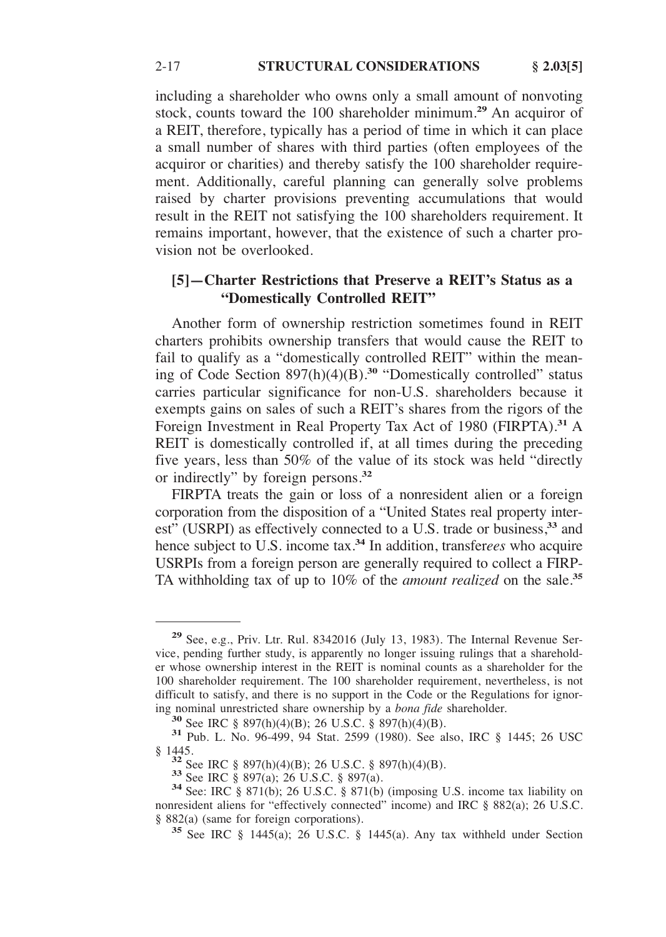including a shareholder who owns only a small amount of nonvoting stock, counts toward the 100 shareholder minimum.**<sup>29</sup>** An acquiror of a REIT, therefore, typically has a period of time in which it can place a small number of shares with third parties (often employees of the acquiror or charities) and thereby satisfy the 100 shareholder requirement. Additionally, careful planning can generally solve problems raised by charter provisions preventing accumulations that would result in the REIT not satisfying the 100 shareholders requirement. It remains important, however, that the existence of such a charter provision not be overlooked.

# **[5]—Charter Restrictions that Preserve a REIT's Status as a "Domestically Controlled REIT"**

Another form of ownership restriction sometimes found in REIT charters prohibits ownership transfers that would cause the REIT to fail to qualify as a "domestically controlled REIT" within the meaning of Code Section 897(h)(4)(B).**<sup>30</sup>** "Domestically controlled" status carries particular significance for non-U.S. shareholders because it exempts gains on sales of such a REIT's shares from the rigors of the Foreign Investment in Real Property Tax Act of 1980 (FIRPTA).**<sup>31</sup>** A REIT is domestically controlled if, at all times during the preceding five years, less than 50% of the value of its stock was held "directly or indirectly" by foreign persons.**<sup>32</sup>**

FIRPTA treats the gain or loss of a nonresident alien or a foreign corporation from the disposition of a "United States real property interest<sup>"</sup> (USRPI) as effectively connected to a U.S. trade or business,<sup>33</sup> and hence subject to U.S. income tax.**<sup>34</sup>** In addition, transfer*ees* who acquire USRPIs from a foreign person are generally required to collect a FIRP-TA withholding tax of up to 10% of the *amount realized* on the sale.**<sup>35</sup>**

**<sup>29</sup>**See, e.g., Priv. Ltr. Rul. 8342016 (July 13, 1983). The Internal Revenue Service, pending further study, is apparently no longer issuing rulings that a shareholder whose ownership interest in the REIT is nominal counts as a shareholder for the 100 shareholder requirement. The 100 shareholder requirement, nevertheless, is not difficult to satisfy, and there is no support in the Code or the Regulations for ignoring nominal unrestricted share ownership by a *bona fide* shareholder.<br> **30** See IRC § 897(h)(4)(B); 26 U.S.C. § 897(h)(4)(B).<br> **31** Pub. L. No. 96-499, 94 Stat. 2599 (1980). See also, IRC § 1445; 26 USC

<sup>§ 1445.&</sup>lt;br><sup>32</sup> See IRC § 897(h)(4)(B); 26 U.S.C. § 897(h)(4)(B).<br><sup>33</sup> See IRC § 897(a); 26 U.S.C. § 897(a).<br><sup>34</sup> See: IRC § 871(b); 26 U.S.C. § 871(b) (imposing U.S. income tax liability on nonresident aliens for "effectively connected" income) and IRC § 882(a); 26 U.S.C. § 882(a) (same for foreign corporations).

<sup>&</sup>lt;sup>35</sup> See IRC § 1445(a); 26 U.S.C. § 1445(a). Any tax withheld under Section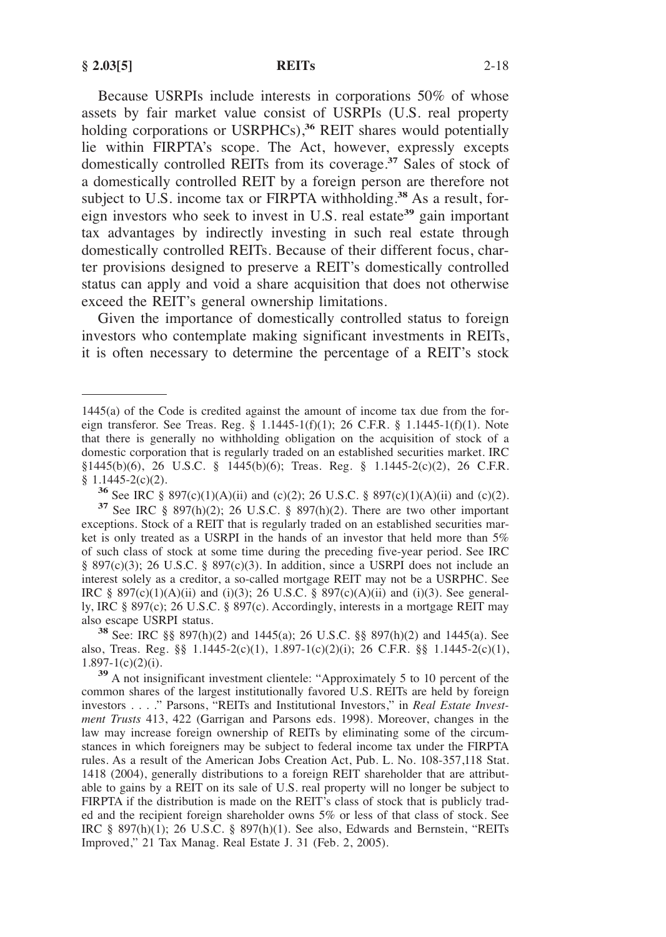Because USRPIs include interests in corporations 50% of whose assets by fair market value consist of USRPIs (U.S. real property holding corporations or USRPHCs),<sup>36</sup> REIT shares would potentially lie within FIRPTA's scope. The Act, however, expressly excepts domestically controlled REITs from its coverage.**<sup>37</sup>** Sales of stock of a domestically controlled REIT by a foreign person are therefore not subject to U.S. income tax or FIRPTA withholding.**<sup>38</sup>** As a result, foreign investors who seek to invest in U.S. real estate**<sup>39</sup>** gain important tax advantages by indirectly investing in such real estate through domestically controlled REITs. Because of their different focus, charter provisions designed to preserve a REIT's domestically controlled status can apply and void a share acquisition that does not otherwise exceed the REIT's general ownership limitations.

Given the importance of domestically controlled status to foreign investors who contemplate making significant investments in REITs, it is often necessary to determine the percentage of a REIT's stock

also, Treas. Reg. §§ 1.1445-2(c)(1), 1.897-1(c)(2)(i); 26 C.F.R. §§ 1.1445-2(c)(1), 1.897-1(c)(2)(i).

<sup>1445(</sup>a) of the Code is credited against the amount of income tax due from the foreign transferor. See Treas. Reg. § 1.1445-1(f)(1); 26 C.F.R. § 1.1445-1(f)(1). Note that there is generally no withholding obligation on the acquisition of stock of a domestic corporation that is regularly traded on an established securities market. IRC §1445(b)(6), 26 U.S.C. § 1445(b)(6); Treas. Reg. § 1.1445-2(c)(2), 26 C.F.R. § 1.1445-2(c)(2).

<sup>&</sup>lt;sup>36</sup> See IRC § 897(c)(1)(A)(ii) and (c)(2); 26 U.S.C. § 897(c)(1)(A)(ii) and (c)(2). <sup>37</sup> See IRC § 897(h)(2); 26 U.S.C. § 897(h)(2). There are two other important exceptions. Stock of a REIT that is regularly traded on an established securities market is only treated as a USRPI in the hands of an investor that held more than 5% of such class of stock at some time during the preceding five-year period. See IRC § 897(c)(3); 26 U.S.C. § 897(c)(3). In addition, since a USRPI does not include an interest solely as a creditor, a so-called mortgage REIT may not be a USRPHC. See IRC § 897(c)(1)(A)(ii) and (i)(3); 26 U.S.C. § 897(c)(A)(ii) and (i)(3). See generally, IRC § 897(c); 26 U.S.C. § 897(c). Accordingly, interests in a mortgage REIT may also escape USRPI status. **38** See: IRC §§ 897(h)(2) and 1445(a); 26 U.S.C. §§ 897(h)(2) and 1445(a). See

<sup>&</sup>lt;sup>39</sup> A not insignificant investment clientele: "Approximately 5 to 10 percent of the common shares of the largest institutionally favored U.S. REITs are held by foreign investors . . . ." Parsons, "REITs and Institutional Investors," in *Real Estate Investment Trusts* 413, 422 (Garrigan and Parsons eds. 1998). Moreover, changes in the law may increase foreign ownership of REITs by eliminating some of the circumstances in which foreigners may be subject to federal income tax under the FIRPTA rules. As a result of the American Jobs Creation Act, Pub. L. No. 108-357,118 Stat. 1418 (2004), generally distributions to a foreign REIT shareholder that are attributable to gains by a REIT on its sale of U.S. real property will no longer be subject to FIRPTA if the distribution is made on the REIT's class of stock that is publicly traded and the recipient foreign shareholder owns 5% or less of that class of stock. See IRC § 897(h)(1); 26 U.S.C. § 897(h)(1). See also, Edwards and Bernstein, "REITs Improved," 21 Tax Manag. Real Estate J. 31 (Feb. 2, 2005).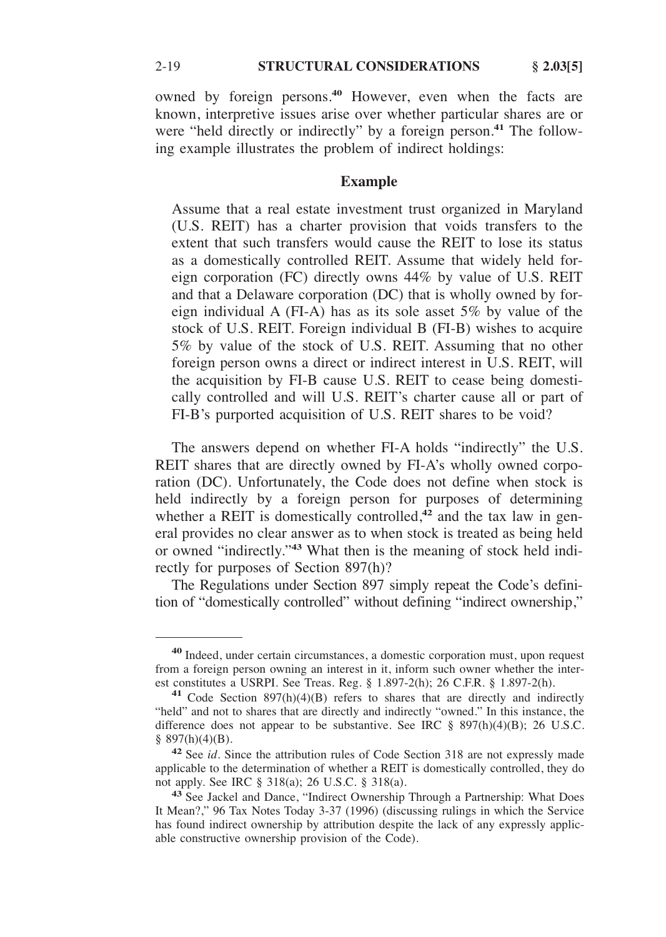owned by foreign persons.**<sup>40</sup>** However, even when the facts are known, interpretive issues arise over whether particular shares are or were "held directly or indirectly" by a foreign person.**<sup>41</sup>** The following example illustrates the problem of indirect holdings:

## **Example**

Assume that a real estate investment trust organized in Maryland (U.S. REIT) has a charter provision that voids transfers to the extent that such transfers would cause the REIT to lose its status as a domestically controlled REIT. Assume that widely held foreign corporation (FC) directly owns 44% by value of U.S. REIT and that a Delaware corporation (DC) that is wholly owned by foreign individual A (FI-A) has as its sole asset 5% by value of the stock of U.S. REIT. Foreign individual B (FI-B) wishes to acquire 5% by value of the stock of U.S. REIT. Assuming that no other foreign person owns a direct or indirect interest in U.S. REIT, will the acquisition by FI-B cause U.S. REIT to cease being domestically controlled and will U.S. REIT's charter cause all or part of FI-B's purported acquisition of U.S. REIT shares to be void?

The answers depend on whether FI-A holds "indirectly" the U.S. REIT shares that are directly owned by FI-A's wholly owned corporation (DC). Unfortunately, the Code does not define when stock is held indirectly by a foreign person for purposes of determining whether a REIT is domestically controlled,<sup>42</sup> and the tax law in general provides no clear answer as to when stock is treated as being held or owned "indirectly."**<sup>43</sup>** What then is the meaning of stock held indirectly for purposes of Section 897(h)?

The Regulations under Section 897 simply repeat the Code's definition of "domestically controlled" without defining "indirect ownership,"

**<sup>40</sup>**Indeed, under certain circumstances, a domestic corporation must, upon request from a foreign person owning an interest in it, inform such owner whether the inter-<br>est constitutes a USRPI. See Treas. Reg.  $\S$  1.897-2(h); 26 C.F.R.  $\S$  1.897-2(h).

<sup>&</sup>lt;sup>41</sup> Code Section 897(h)(4)(B) refers to shares that are directly and indirectly "held" and not to shares that are directly and indirectly "owned." In this instance, the difference does not appear to be substantive. See IRC § 897(h)(4)(B); 26 U.S.C.  $§$  897(h)(4)(B).

**<sup>42</sup>**See *id.* Since the attribution rules of Code Section 318 are not expressly made applicable to the determination of whether a REIT is domestically controlled, they do not apply. See IRC § 318(a); 26 U.S.C. § 318(a).

**<sup>43</sup>** See Jackel and Dance, "Indirect Ownership Through a Partnership: What Does It Mean?," 96 Tax Notes Today 3-37 (1996) (discussing rulings in which the Service has found indirect ownership by attribution despite the lack of any expressly applicable constructive ownership provision of the Code).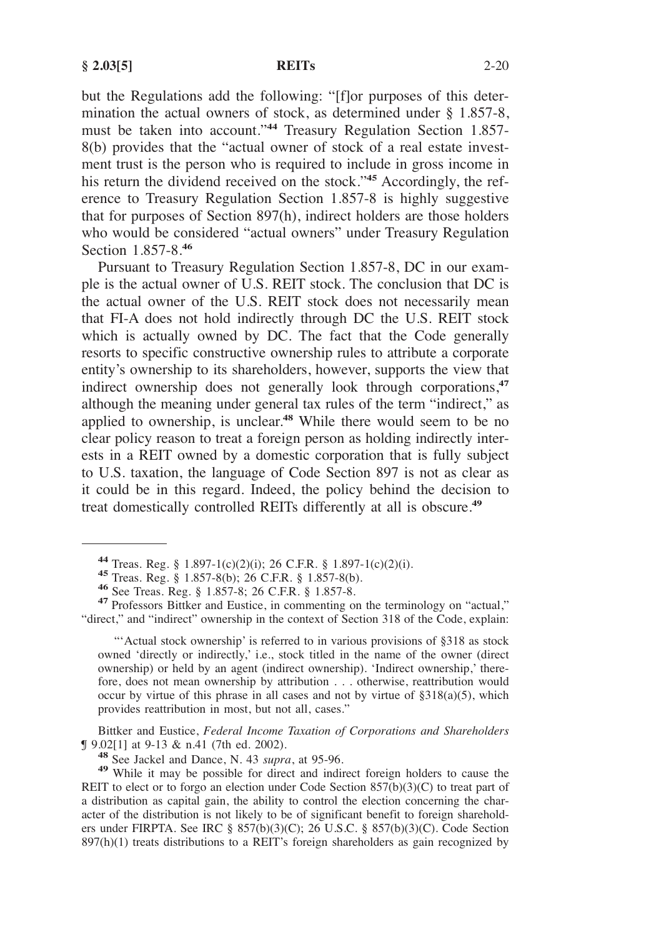but the Regulations add the following: "[f]or purposes of this determination the actual owners of stock, as determined under § 1.857-8, must be taken into account."**<sup>44</sup>** Treasury Regulation Section 1.857- 8(b) provides that the "actual owner of stock of a real estate investment trust is the person who is required to include in gross income in his return the dividend received on the stock."**<sup>45</sup>** Accordingly, the reference to Treasury Regulation Section 1.857-8 is highly suggestive that for purposes of Section 897(h), indirect holders are those holders who would be considered "actual owners" under Treasury Regulation Section 1.857-8.**<sup>46</sup>**

Pursuant to Treasury Regulation Section 1.857-8, DC in our example is the actual owner of U.S. REIT stock. The conclusion that DC is the actual owner of the U.S. REIT stock does not necessarily mean that FI-A does not hold indirectly through DC the U.S. REIT stock which is actually owned by DC. The fact that the Code generally resorts to specific constructive ownership rules to attribute a corporate entity's ownership to its shareholders, however, supports the view that indirect ownership does not generally look through corporations,**<sup>47</sup>** although the meaning under general tax rules of the term "indirect," as applied to ownership, is unclear.**<sup>48</sup>** While there would seem to be no clear policy reason to treat a foreign person as holding indirectly interests in a REIT owned by a domestic corporation that is fully subject to U.S. taxation, the language of Code Section 897 is not as clear as it could be in this regard. Indeed, the policy behind the decision to treat domestically controlled REITs differently at all is obscure.**<sup>49</sup>**

"'Actual stock ownership' is referred to in various provisions of §318 as stock owned 'directly or indirectly,' i.e., stock titled in the name of the owner (direct ownership) or held by an agent (indirect ownership). 'Indirect ownership,' therefore, does not mean ownership by attribution . . . otherwise, reattribution would occur by virtue of this phrase in all cases and not by virtue of  $\S318(a)(5)$ , which provides reattribution in most, but not all, cases."

Bittker and Eustice, *Federal Income Taxation of Corporations and Shareholders* **J** 9.02[1] at 9-13 & n.41 (7th ed. 2002).

<sup>48</sup> See Jackel and Dance, N. 43 *supra*, at 95-96. <sup>49</sup> While it may be possible for direct and indirect foreign holders to cause the REIT to elect or to forgo an election under Code Section 857(b)(3)(C) to treat part of a distribution as capital gain, the ability to control the election concerning the character of the distribution is not likely to be of significant benefit to foreign shareholders under FIRPTA. See IRC § 857(b)(3)(C); 26 U.S.C. § 857(b)(3)(C). Code Section 897(h)(1) treats distributions to a REIT's foreign shareholders as gain recognized by

<sup>44</sup> Treas. Reg. § 1.897-1(c)(2)(i); 26 C.F.R. § 1.897-1(c)(2)(i).<br>45 Treas. Reg. § 1.857-8(b); 26 C.F.R. § 1.857-8(b).<br>46 See Treas. Reg. § 1.857-8; 26 C.F.R. § 1.857-8.<br>47 Professors Bittker and Eustice, in commenting on "direct," and "indirect" ownership in the context of Section 318 of the Code, explain: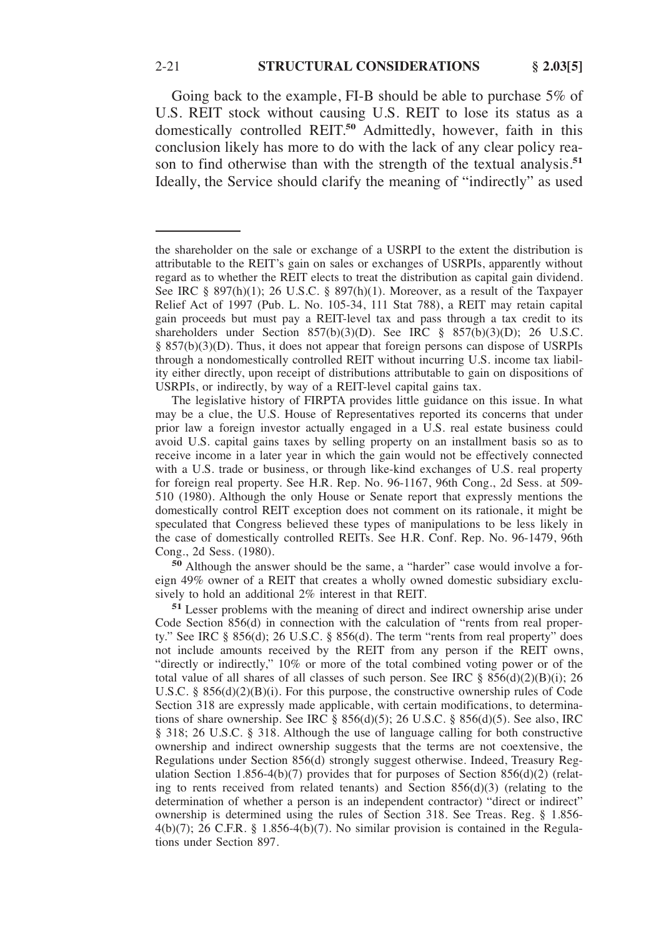Going back to the example, FI-B should be able to purchase 5% of U.S. REIT stock without causing U.S. REIT to lose its status as a domestically controlled REIT.**<sup>50</sup>** Admittedly, however, faith in this conclusion likely has more to do with the lack of any clear policy reason to find otherwise than with the strength of the textual analysis.**<sup>51</sup>** Ideally, the Service should clarify the meaning of "indirectly" as used

The legislative history of FIRPTA provides little guidance on this issue. In what may be a clue, the U.S. House of Representatives reported its concerns that under prior law a foreign investor actually engaged in a U.S. real estate business could avoid U.S. capital gains taxes by selling property on an installment basis so as to receive income in a later year in which the gain would not be effectively connected with a U.S. trade or business, or through like-kind exchanges of U.S. real property for foreign real property. See H.R. Rep. No. 96-1167, 96th Cong., 2d Sess. at 509- 510 (1980). Although the only House or Senate report that expressly mentions the domestically control REIT exception does not comment on its rationale, it might be speculated that Congress believed these types of manipulations to be less likely in the case of domestically controlled REITs. See H.R. Conf. Rep. No. 96-1479, 96th Cong., 2d Sess. (1980).

**<sup>50</sup>** Although the answer should be the same, a "harder" case would involve a foreign 49% owner of a REIT that creates a wholly owned domestic subsidiary exclusively to hold an additional 2% interest in that REIT.

the shareholder on the sale or exchange of a USRPI to the extent the distribution is attributable to the REIT's gain on sales or exchanges of USRPIs, apparently without regard as to whether the REIT elects to treat the distribution as capital gain dividend. See IRC § 897(h)(1); 26 U.S.C. § 897(h)(1). Moreover, as a result of the Taxpayer Relief Act of 1997 (Pub. L. No. 105-34, 111 Stat 788), a REIT may retain capital gain proceeds but must pay a REIT-level tax and pass through a tax credit to its shareholders under Section 857(b)(3)(D). See IRC § 857(b)(3)(D); 26 U.S.C. § 857(b)(3)(D). Thus, it does not appear that foreign persons can dispose of USRPIs through a nondomestically controlled REIT without incurring U.S. income tax liability either directly, upon receipt of distributions attributable to gain on dispositions of USRPIs, or indirectly, by way of a REIT-level capital gains tax.

**<sup>51</sup>** Lesser problems with the meaning of direct and indirect ownership arise under Code Section 856(d) in connection with the calculation of "rents from real property." See IRC § 856(d); 26 U.S.C. § 856(d). The term "rents from real property" does not include amounts received by the REIT from any person if the REIT owns, "directly or indirectly," 10% or more of the total combined voting power or of the total value of all shares of all classes of such person. See IRC  $\S 856(d)(2)(B)(i)$ ; 26 U.S.C. §  $856(d)(2)(B)(i)$ . For this purpose, the constructive ownership rules of Code Section 318 are expressly made applicable, with certain modifications, to determinations of share ownership. See IRC § 856(d)(5); 26 U.S.C. § 856(d)(5). See also, IRC § 318; 26 U.S.C. § 318. Although the use of language calling for both constructive ownership and indirect ownership suggests that the terms are not coextensive, the Regulations under Section 856(d) strongly suggest otherwise. Indeed, Treasury Regulation Section 1.856-4(b)(7) provides that for purposes of Section  $856(d)(2)$  (relating to rents received from related tenants) and Section 856(d)(3) (relating to the determination of whether a person is an independent contractor) "direct or indirect" ownership is determined using the rules of Section 318. See Treas. Reg. § 1.856-  $4(b)(7)$ ; 26 C.F.R. § 1.856-4(b)(7). No similar provision is contained in the Regulations under Section 897.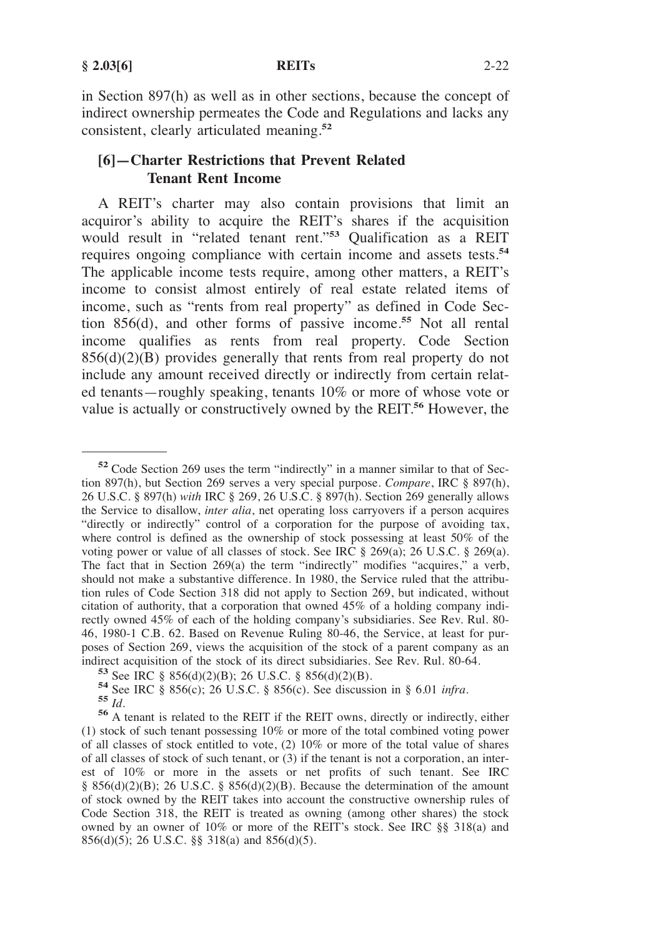in Section 897(h) as well as in other sections, because the concept of indirect ownership permeates the Code and Regulations and lacks any consistent, clearly articulated meaning.**<sup>52</sup>**

# **[6]—Charter Restrictions that Prevent Related Tenant Rent Income**

A REIT's charter may also contain provisions that limit an acquiror's ability to acquire the REIT's shares if the acquisition would result in "related tenant rent."**<sup>53</sup>** Qualification as a REIT requires ongoing compliance with certain income and assets tests.**<sup>54</sup>** The applicable income tests require, among other matters, a REIT's income to consist almost entirely of real estate related items of income, such as "rents from real property" as defined in Code Section 856(d), and other forms of passive income.**<sup>55</sup>** Not all rental income qualifies as rents from real property. Code Section  $856(d)(2)(B)$  provides generally that rents from real property do not include any amount received directly or indirectly from certain related tenants—roughly speaking, tenants 10% or more of whose vote or value is actually or constructively owned by the REIT.**<sup>56</sup>** However, the

**<sup>52</sup>**Code Section 269 uses the term "indirectly" in a manner similar to that of Section 897(h), but Section 269 serves a very special purpose. *Compare*, IRC § 897(h), 26 U.S.C. § 897(h) *with* IRC § 269, 26 U.S.C. § 897(h). Section 269 generally allows the Service to disallow, *inter alia*, net operating loss carryovers if a person acquires "directly or indirectly" control of a corporation for the purpose of avoiding tax, where control is defined as the ownership of stock possessing at least 50% of the voting power or value of all classes of stock. See IRC § 269(a); 26 U.S.C. § 269(a). The fact that in Section 269(a) the term "indirectly" modifies "acquires," a verb, should not make a substantive difference. In 1980, the Service ruled that the attribution rules of Code Section 318 did not apply to Section 269, but indicated, without citation of authority, that a corporation that owned 45% of a holding company indirectly owned 45% of each of the holding company's subsidiaries. See Rev. Rul. 80- 46, 1980-1 C.B. 62. Based on Revenue Ruling 80-46, the Service, at least for purposes of Section 269, views the acquisition of the stock of a parent company as an indirect acquisition of the stock of its direct subsidiaries. See Rev. Rul. 80-64.

<sup>&</sup>lt;sup>53</sup> See IRC § 856(d)(2)(B); 26 U.S.C. § 856(d)(2)(B).<br><sup>54</sup> See IRC § 856(c); 26 U.S.C. § 856(c). See discussion in § 6.01 *infra*.<br><sup>55</sup> *Id*.<br><sup>56</sup> A tenant is related to the REIT if the REIT owns, directly or indirectly,

<sup>(1)</sup> stock of such tenant possessing 10% or more of the total combined voting power of all classes of stock entitled to vote, (2) 10% or more of the total value of shares of all classes of stock of such tenant, or (3) if the tenant is not a corporation, an interest of 10% or more in the assets or net profits of such tenant. See IRC § 856(d)(2)(B); 26 U.S.C. § 856(d)(2)(B). Because the determination of the amount of stock owned by the REIT takes into account the constructive ownership rules of Code Section 318, the REIT is treated as owning (among other shares) the stock owned by an owner of 10% or more of the REIT's stock. See IRC §§ 318(a) and 856(d)(5); 26 U.S.C. §§ 318(a) and 856(d)(5).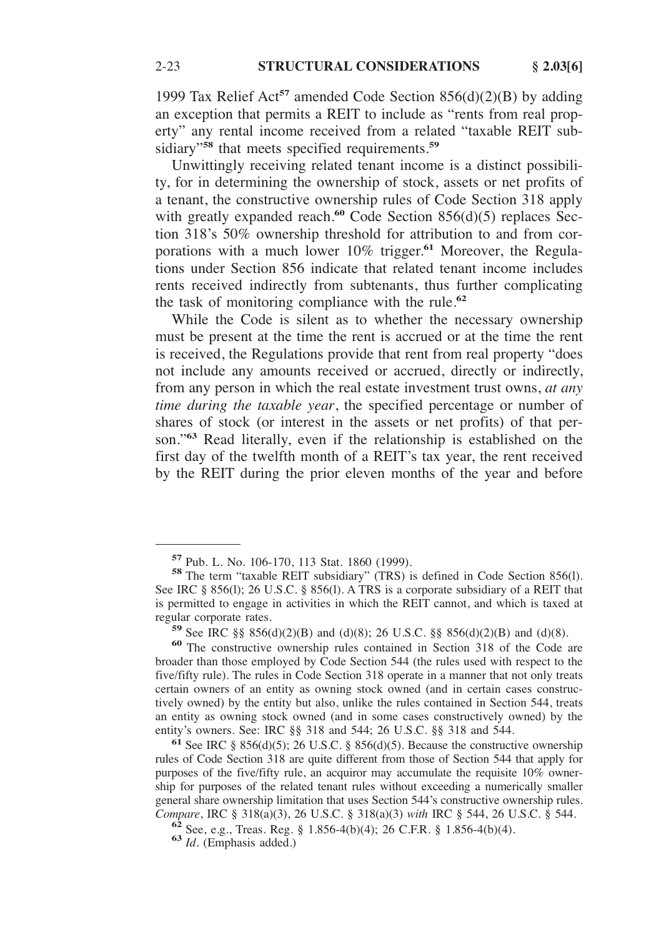1999 Tax Relief Act**<sup>57</sup>** amended Code Section 856(d)(2)(B) by adding an exception that permits a REIT to include as "rents from real property" any rental income received from a related "taxable REIT subsidiary"**<sup>58</sup>** that meets specified requirements.**<sup>59</sup>**

Unwittingly receiving related tenant income is a distinct possibility, for in determining the ownership of stock, assets or net profits of a tenant, the constructive ownership rules of Code Section 318 apply with greatly expanded reach.**<sup>60</sup>** Code Section 856(d)(5) replaces Section 318's 50% ownership threshold for attribution to and from corporations with a much lower 10% trigger.**<sup>61</sup>** Moreover, the Regulations under Section 856 indicate that related tenant income includes rents received indirectly from subtenants, thus further complicating the task of monitoring compliance with the rule.**<sup>62</sup>**

While the Code is silent as to whether the necessary ownership must be present at the time the rent is accrued or at the time the rent is received, the Regulations provide that rent from real property "does not include any amounts received or accrued, directly or indirectly, from any person in which the real estate investment trust owns, *at any time during the taxable year*, the specified percentage or number of shares of stock (or interest in the assets or net profits) of that person."**<sup>63</sup>** Read literally, even if the relationship is established on the first day of the twelfth month of a REIT's tax year, the rent received by the REIT during the prior eleven months of the year and before

**<sup>61</sup>** See IRC § 856(d)(5); 26 U.S.C. § 856(d)(5). Because the constructive ownership rules of Code Section 318 are quite different from those of Section 544 that apply for purposes of the five/fifty rule, an acquiror may accumulate the requisite 10% ownership for purposes of the related tenant rules without exceeding a numerically smaller general share ownership limitation that uses Section 544's constructive ownership rules. *Compare*, IRC § 318(a)(3), 26 U.S.C. § 318(a)(3) *with* IRC § 544, 26 U.S.C. § 544. <sup>62</sup> See, e.g., Treas. Reg. § 1.856-4(b)(4); 26 C.F.R. § 1.856-4(b)(4). <sup>63</sup> *Id.* (Emphasis added.)

**<sup>57</sup>**Pub. L. No. 106-170, 113 Stat. 1860 (1999). **58** The term "taxable REIT subsidiary" (TRS) is defined in Code Section 856(l). See IRC § 856(1); 26 U.S.C. § 856(1). A TRS is a corporate subsidiary of a REIT that is permitted to engage in activities in which the REIT cannot, and which is taxed at

regular corporate rates. **59** See IRC §§ 856(d)(2)(B) and (d)(8); 26 U.S.C. §§ 856(d)(2)(B) and (d)(8). **<sup>60</sup>**The constructive ownership rules contained in Section 318 of the Code are broader than those employed by Code Section 544 (the rules used with respect to the five/fifty rule). The rules in Code Section 318 operate in a manner that not only treats certain owners of an entity as owning stock owned (and in certain cases constructively owned) by the entity but also, unlike the rules contained in Section 544, treats an entity as owning stock owned (and in some cases constructively owned) by the entity's owners. See: IRC §§ 318 and 544; 26 U.S.C. §§ 318 and 544.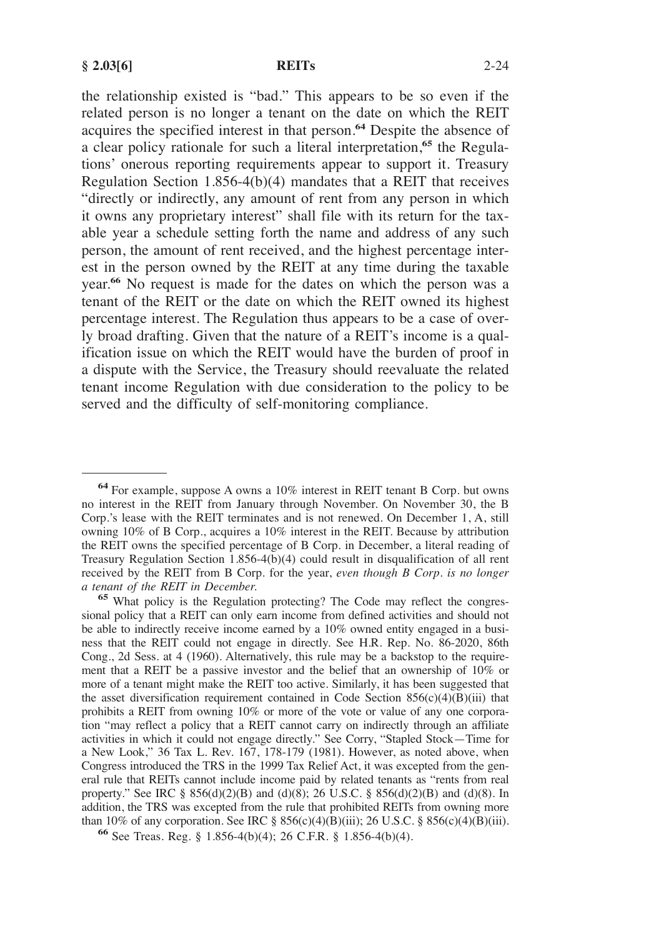the relationship existed is "bad." This appears to be so even if the related person is no longer a tenant on the date on which the REIT acquires the specified interest in that person.**<sup>64</sup>** Despite the absence of a clear policy rationale for such a literal interpretation,**<sup>65</sup>** the Regulations' onerous reporting requirements appear to support it. Treasury Regulation Section  $1.856-4(b)(4)$  mandates that a REIT that receives "directly or indirectly, any amount of rent from any person in which it owns any proprietary interest" shall file with its return for the taxable year a schedule setting forth the name and address of any such person, the amount of rent received, and the highest percentage interest in the person owned by the REIT at any time during the taxable year.**<sup>66</sup>** No request is made for the dates on which the person was a tenant of the REIT or the date on which the REIT owned its highest percentage interest. The Regulation thus appears to be a case of overly broad drafting. Given that the nature of a REIT's income is a qualification issue on which the REIT would have the burden of proof in a dispute with the Service, the Treasury should reevaluate the related tenant income Regulation with due consideration to the policy to be served and the difficulty of self-monitoring compliance.

**<sup>64</sup>**For example, suppose A owns a 10% interest in REIT tenant B Corp. but owns no interest in the REIT from January through November. On November 30, the B Corp.'s lease with the REIT terminates and is not renewed. On December 1, A, still owning 10% of B Corp., acquires a 10% interest in the REIT. Because by attribution the REIT owns the specified percentage of B Corp. in December, a literal reading of Treasury Regulation Section 1.856-4(b)(4) could result in disqualification of all rent received by the REIT from B Corp. for the year, *even though B Corp. is no longer*

<sup>&</sup>lt;sup>65</sup> What policy is the Regulation protecting? The Code may reflect the congressional policy that a REIT can only earn income from defined activities and should not be able to indirectly receive income earned by a 10% owned entity engaged in a business that the REIT could not engage in directly. See H.R. Rep. No. 86-2020, 86th Cong., 2d Sess. at 4 (1960). Alternatively, this rule may be a backstop to the requirement that a REIT be a passive investor and the belief that an ownership of 10% or more of a tenant might make the REIT too active. Similarly, it has been suggested that the asset diversification requirement contained in Code Section  $856(c)(4)(B)(iii)$  that prohibits a REIT from owning 10% or more of the vote or value of any one corporation "may reflect a policy that a REIT cannot carry on indirectly through an affiliate activities in which it could not engage directly." See Corry, "Stapled Stock—Time for a New Look," 36 Tax L. Rev. 167, 178-179 (1981). However, as noted above, when Congress introduced the TRS in the 1999 Tax Relief Act, it was excepted from the general rule that REITs cannot include income paid by related tenants as "rents from real property." See IRC §  $856(d)(2)(B)$  and  $(d)(8)$ ; 26 U.S.C. §  $856(d)(2)(B)$  and  $(d)(8)$ . In addition, the TRS was excepted from the rule that prohibited REITs from owning more than 10% of any corporation. See IRC § 856(c)(4)(B)(iii); 26 U.S.C. § 856(c)(4)(B)(iii). **66** See Treas. Reg. § 1.856-4(b)(4); 26 C.F.R. § 1.856-4(b)(4).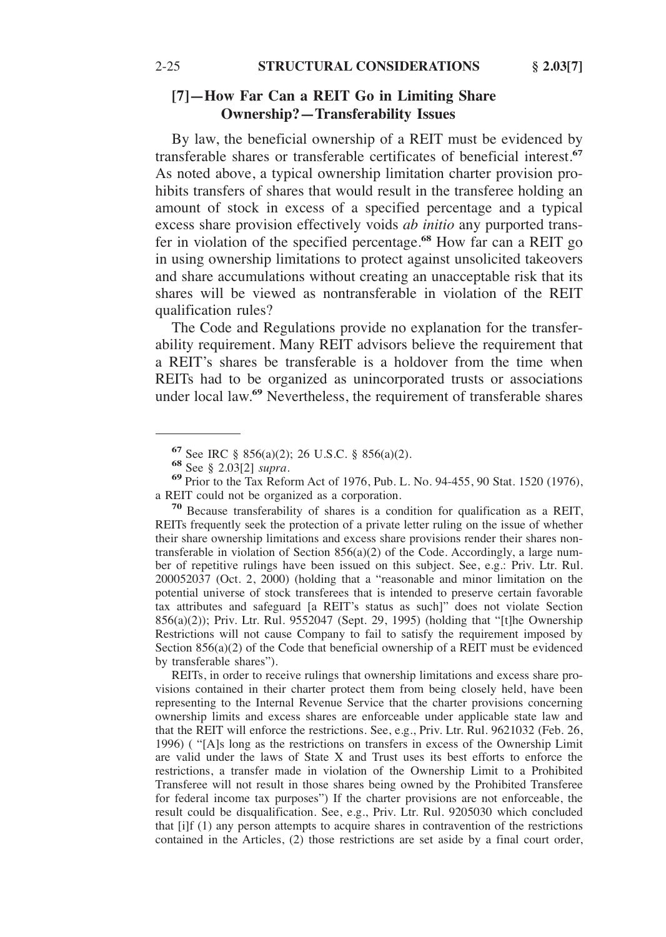# **[7]—How Far Can a REIT Go in Limiting Share Ownership?—Transferability Issues**

By law, the beneficial ownership of a REIT must be evidenced by transferable shares or transferable certificates of beneficial interest.**<sup>67</sup>** As noted above, a typical ownership limitation charter provision prohibits transfers of shares that would result in the transferee holding an amount of stock in excess of a specified percentage and a typical excess share provision effectively voids *ab initio* any purported transfer in violation of the specified percentage.**<sup>68</sup>** How far can a REIT go in using ownership limitations to protect against unsolicited takeovers and share accumulations without creating an unacceptable risk that its shares will be viewed as nontransferable in violation of the REIT qualification rules?

The Code and Regulations provide no explanation for the transferability requirement. Many REIT advisors believe the requirement that a REIT's shares be transferable is a holdover from the time when REITs had to be organized as unincorporated trusts or associations under local law.**<sup>69</sup>** Nevertheless, the requirement of transferable shares

<sup>70</sup> Because transferability of shares is a condition for qualification as a REIT, REITs frequently seek the protection of a private letter ruling on the issue of whether their share ownership limitations and excess share provisions render their shares nontransferable in violation of Section 856(a)(2) of the Code. Accordingly, a large number of repetitive rulings have been issued on this subject. See, e.g.: Priv. Ltr. Rul. 200052037 (Oct. 2, 2000) (holding that a "reasonable and minor limitation on the potential universe of stock transferees that is intended to preserve certain favorable tax attributes and safeguard [a REIT's status as such]" does not violate Section 856(a)(2)); Priv. Ltr. Rul. 9552047 (Sept. 29, 1995) (holding that "[t]he Ownership Restrictions will not cause Company to fail to satisfy the requirement imposed by Section  $856(a)(2)$  of the Code that beneficial ownership of a REIT must be evidenced by transferable shares").

REITs, in order to receive rulings that ownership limitations and excess share provisions contained in their charter protect them from being closely held, have been representing to the Internal Revenue Service that the charter provisions concerning ownership limits and excess shares are enforceable under applicable state law and that the REIT will enforce the restrictions. See, e.g., Priv. Ltr. Rul. 9621032 (Feb. 26, 1996) ( "[A]s long as the restrictions on transfers in excess of the Ownership Limit are valid under the laws of State X and Trust uses its best efforts to enforce the restrictions, a transfer made in violation of the Ownership Limit to a Prohibited Transferee will not result in those shares being owned by the Prohibited Transferee for federal income tax purposes") If the charter provisions are not enforceable, the result could be disqualification. See, e.g., Priv. Ltr. Rul. 9205030 which concluded that [i]f (1) any person attempts to acquire shares in contravention of the restrictions contained in the Articles, (2) those restrictions are set aside by a final court order,

**<sup>67</sup>** See IRC § 856(a)(2); 26 U.S.C. § 856(a)(2).<br> **68** See § 2.03[2] *supra*.<br> **69** Prior to the Tax Reform Act of 1976, Pub. L. No. 94-455, 90 Stat. 1520 (1976), a REIT could not be organized as a corporation.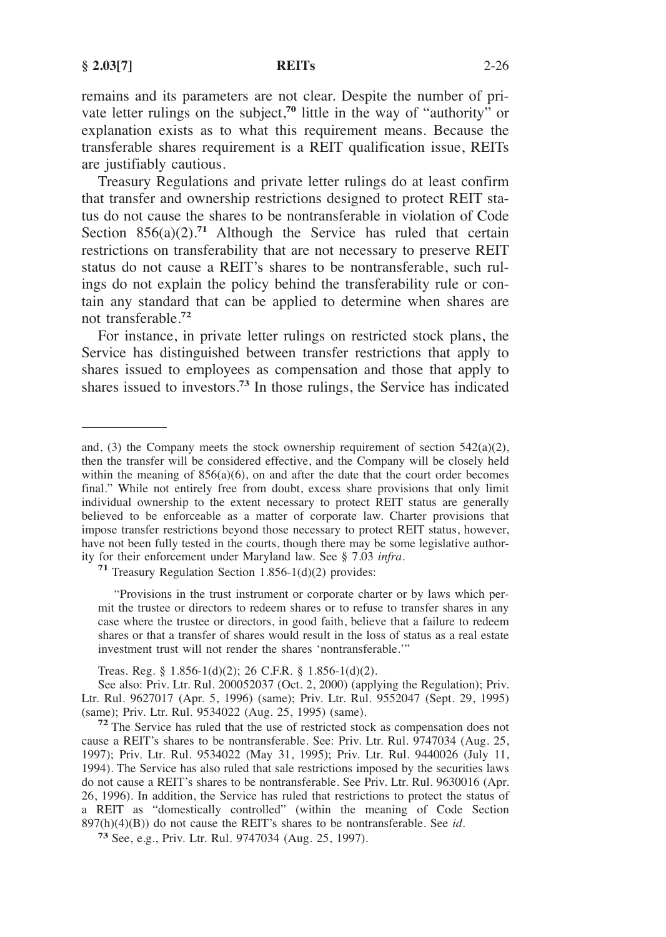remains and its parameters are not clear. Despite the number of private letter rulings on the subject,<sup>70</sup> little in the way of "authority" or explanation exists as to what this requirement means. Because the transferable shares requirement is a REIT qualification issue, REITs are justifiably cautious.

Treasury Regulations and private letter rulings do at least confirm that transfer and ownership restrictions designed to protect REIT status do not cause the shares to be nontransferable in violation of Code Section  $856(a)(2)$ <sup>71</sup> Although the Service has ruled that certain restrictions on transferability that are not necessary to preserve REIT status do not cause a REIT's shares to be nontransferable, such rulings do not explain the policy behind the transferability rule or contain any standard that can be applied to determine when shares are not transferable.**<sup>72</sup>**

For instance, in private letter rulings on restricted stock plans, the Service has distinguished between transfer restrictions that apply to shares issued to employees as compensation and those that apply to shares issued to investors.**<sup>73</sup>** In those rulings, the Service has indicated

"Provisions in the trust instrument or corporate charter or by laws which permit the trustee or directors to redeem shares or to refuse to transfer shares in any case where the trustee or directors, in good faith, believe that a failure to redeem shares or that a transfer of shares would result in the loss of status as a real estate investment trust will not render the shares 'nontransferable.'"

Treas. Reg. § 1.856-1(d)(2); 26 C.F.R. § 1.856-1(d)(2).

and, (3) the Company meets the stock ownership requirement of section 542(a)(2), then the transfer will be considered effective, and the Company will be closely held within the meaning of  $856(a)(6)$ , on and after the date that the court order becomes final." While not entirely free from doubt, excess share provisions that only limit individual ownership to the extent necessary to protect REIT status are generally believed to be enforceable as a matter of corporate law. Charter provisions that impose transfer restrictions beyond those necessary to protect REIT status, however, have not been fully tested in the courts, though there may be some legislative author-<br>ity for their enforcement under Maryland law. See  $\S 7.03$  infra.

<sup>&</sup>lt;sup>71</sup> Treasury Regulation Section 1.856-1(d)(2) provides:

See also: Priv. Ltr. Rul. 200052037 (Oct. 2, 2000) (applying the Regulation); Priv. Ltr. Rul. 9627017 (Apr. 5, 1996) (same); Priv. Ltr. Rul. 9552047 (Sept. 29, 1995) (same); Priv. Ltr. Rul. 9534022 (Aug. 25, 1995) (same). **<sup>72</sup>**The Service has ruled that the use of restricted stock as compensation does not

cause a REIT's shares to be nontransferable. See: Priv. Ltr. Rul. 9747034 (Aug. 25, 1997); Priv. Ltr. Rul. 9534022 (May 31, 1995); Priv. Ltr. Rul. 9440026 (July 11, 1994). The Service has also ruled that sale restrictions imposed by the securities laws do not cause a REIT's shares to be nontransferable. See Priv. Ltr. Rul. 9630016 (Apr. 26, 1996). In addition, the Service has ruled that restrictions to protect the status of a REIT as "domestically controlled" (within the meaning of Code Section 897(h)(4)(B)) do not cause the REIT's shares to be nontransferable. See *id.*

**<sup>73</sup>** See, e.g., Priv. Ltr. Rul. 9747034 (Aug. 25, 1997).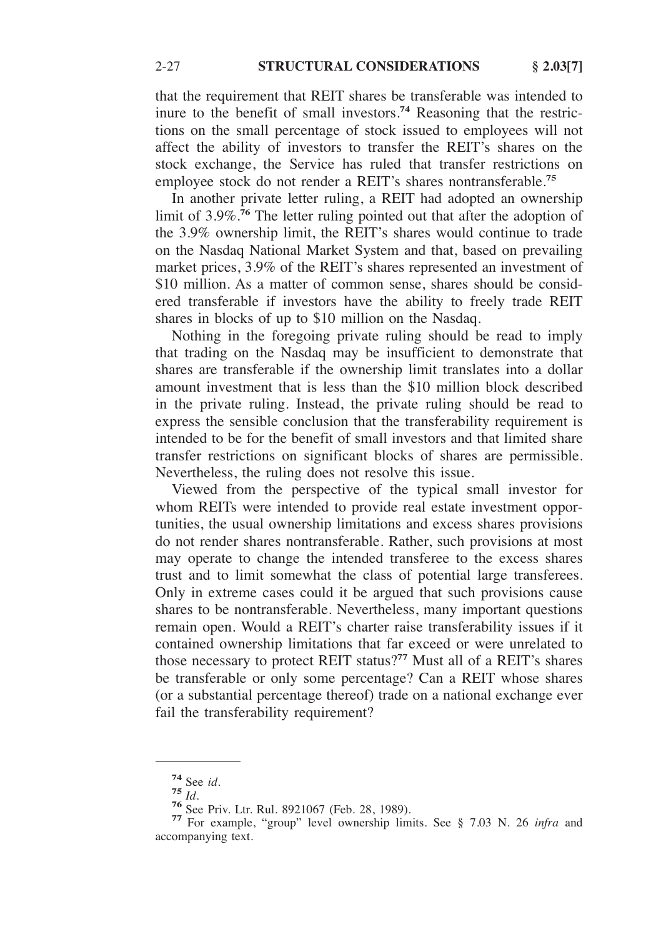that the requirement that REIT shares be transferable was intended to inure to the benefit of small investors.**<sup>74</sup>** Reasoning that the restrictions on the small percentage of stock issued to employees will not affect the ability of investors to transfer the REIT's shares on the stock exchange, the Service has ruled that transfer restrictions on employee stock do not render a REIT's shares nontransferable.**<sup>75</sup>**

In another private letter ruling, a REIT had adopted an ownership limit of 3.9%.**<sup>76</sup>** The letter ruling pointed out that after the adoption of the 3.9% ownership limit, the REIT's shares would continue to trade on the Nasdaq National Market System and that, based on prevailing market prices, 3.9% of the REIT's shares represented an investment of \$10 million. As a matter of common sense, shares should be considered transferable if investors have the ability to freely trade REIT shares in blocks of up to \$10 million on the Nasdaq.

Nothing in the foregoing private ruling should be read to imply that trading on the Nasdaq may be insufficient to demonstrate that shares are transferable if the ownership limit translates into a dollar amount investment that is less than the \$10 million block described in the private ruling. Instead, the private ruling should be read to express the sensible conclusion that the transferability requirement is intended to be for the benefit of small investors and that limited share transfer restrictions on significant blocks of shares are permissible. Nevertheless, the ruling does not resolve this issue.

Viewed from the perspective of the typical small investor for whom REITs were intended to provide real estate investment opportunities, the usual ownership limitations and excess shares provisions do not render shares nontransferable. Rather, such provisions at most may operate to change the intended transferee to the excess shares trust and to limit somewhat the class of potential large transferees. Only in extreme cases could it be argued that such provisions cause shares to be nontransferable. Nevertheless, many important questions remain open. Would a REIT's charter raise transferability issues if it contained ownership limitations that far exceed or were unrelated to those necessary to protect REIT status?**<sup>77</sup>** Must all of a REIT's shares be transferable or only some percentage? Can a REIT whose shares (or a substantial percentage thereof) trade on a national exchange ever fail the transferability requirement?

**<sup>74</sup>** See *id.* **75** *Id.* **76** See Priv. Ltr. Rul. 8921067 (Feb. 28, 1989). **77** For example, "group" level ownership limits. See § 7.03 N. 26 *infra* and accompanying text.